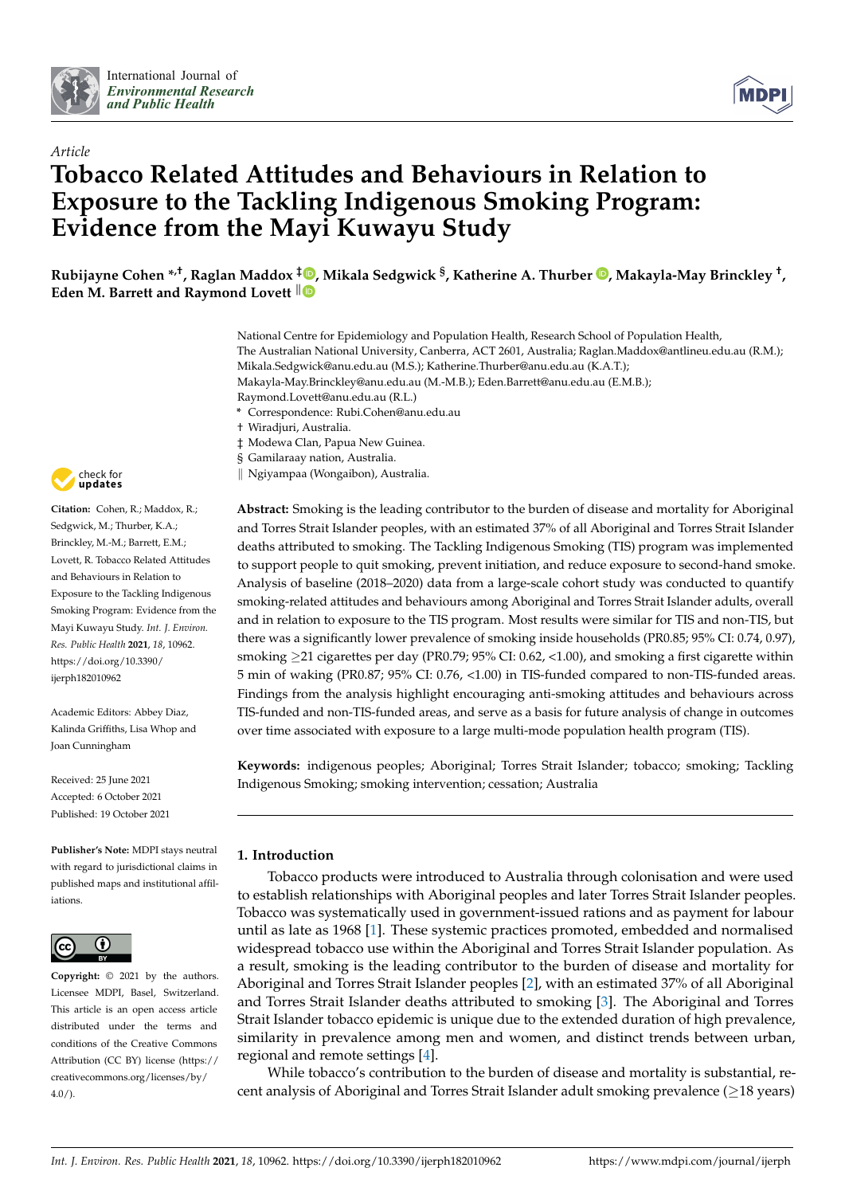



# *Article* **Tobacco Related Attitudes and Behaviours in Relation to Exposure to the Tackling Indigenous Smoking Program: Evidence from the Mayi Kuwayu Study**

**Rubijayne Cohen \*,†, Raglan Maddox [‡](https://orcid.org/0000-0002-2770-0686) , Mikala Sedgwick § , Katherine A. Thurber [,](https://orcid.org/0000-0002-5626-1133) Makayla-May Brinckley † , Eden M. Barrett and Raymond Lovett**  $\|\n\mathbf{\Theta}\n\|$ 

- National Centre for Epidemiology and Population Health, Research School of Population Health, The Australian National University, Canberra, ACT 2601, Australia; Raglan.Maddox@antlineu.edu.au (R.M.); Mikala.Sedgwick@anu.edu.au (M.S.); Katherine.Thurber@anu.edu.au (K.A.T.); Makayla-May.Brinckley@anu.edu.au (M.-M.B.); Eden.Barrett@anu.edu.au (E.M.B.); Raymond.Lovett@anu.edu.au (R.L.) **\*** Correspondence: Rubi.Cohen@anu.edu.au † Wiradjuri, Australia.
- ‡ Modewa Clan, Papua New Guinea.
- § Gamilaraay nation, Australia.
- k Ngiyampaa (Wongaibon), Australia.

**Abstract:** Smoking is the leading contributor to the burden of disease and mortality for Aboriginal and Torres Strait Islander peoples, with an estimated 37% of all Aboriginal and Torres Strait Islander deaths attributed to smoking. The Tackling Indigenous Smoking (TIS) program was implemented to support people to quit smoking, prevent initiation, and reduce exposure to second-hand smoke. Analysis of baseline (2018–2020) data from a large-scale cohort study was conducted to quantify smoking-related attitudes and behaviours among Aboriginal and Torres Strait Islander adults, overall and in relation to exposure to the TIS program. Most results were similar for TIS and non-TIS, but there was a significantly lower prevalence of smoking inside households (PR0.85; 95% CI: 0.74, 0.97), smoking >21 cigarettes per day (PR0.79; 95% CI: 0.62, <1.00), and smoking a first cigarette within 5 min of waking (PR0.87; 95% CI: 0.76, <1.00) in TIS-funded compared to non-TIS-funded areas. Findings from the analysis highlight encouraging anti-smoking attitudes and behaviours across TIS-funded and non-TIS-funded areas, and serve as a basis for future analysis of change in outcomes over time associated with exposure to a large multi-mode population health program (TIS).

**Keywords:** indigenous peoples; Aboriginal; Torres Strait Islander; tobacco; smoking; Tackling Indigenous Smoking; smoking intervention; cessation; Australia

# **1. Introduction**

Tobacco products were introduced to Australia through colonisation and were used to establish relationships with Aboriginal peoples and later Torres Strait Islander peoples. Tobacco was systematically used in government-issued rations and as payment for labour until as late as 1968 [\[1\]](#page-15-0). These systemic practices promoted, embedded and normalised widespread tobacco use within the Aboriginal and Torres Strait Islander population. As a result, smoking is the leading contributor to the burden of disease and mortality for Aboriginal and Torres Strait Islander peoples [\[2\]](#page-15-1), with an estimated 37% of all Aboriginal and Torres Strait Islander deaths attributed to smoking [\[3\]](#page-16-0). The Aboriginal and Torres Strait Islander tobacco epidemic is unique due to the extended duration of high prevalence, similarity in prevalence among men and women, and distinct trends between urban, regional and remote settings [\[4\]](#page-16-1).

While tobacco's contribution to the burden of disease and mortality is substantial, recent analysis of Aboriginal and Torres Strait Islander adult smoking prevalence  $(\geq 18$  years)



**Citation:** Cohen, R.; Maddox, R.; Sedgwick, M.; Thurber, K.A.; Brinckley, M.-M.; Barrett, E.M.; Lovett, R. Tobacco Related Attitudes and Behaviours in Relation to Exposure to the Tackling Indigenous Smoking Program: Evidence from the Mayi Kuwayu Study. *Int. J. Environ. Res. Public Health* **2021**, *18*, 10962. [https://doi.org/10.3390/](https://doi.org/10.3390/ijerph182010962) [ijerph182010962](https://doi.org/10.3390/ijerph182010962)

Academic Editors: Abbey Diaz, Kalinda Griffiths, Lisa Whop and Joan Cunningham

Received: 25 June 2021 Accepted: 6 October 2021 Published: 19 October 2021

**Publisher's Note:** MDPI stays neutral with regard to jurisdictional claims in published maps and institutional affiliations.



**Copyright:** © 2021 by the authors. Licensee MDPI, Basel, Switzerland. This article is an open access article distributed under the terms and conditions of the Creative Commons Attribution (CC BY) license (https:/[/](https://creativecommons.org/licenses/by/4.0/) [creativecommons.org/licenses/by/](https://creativecommons.org/licenses/by/4.0/) 4.0/).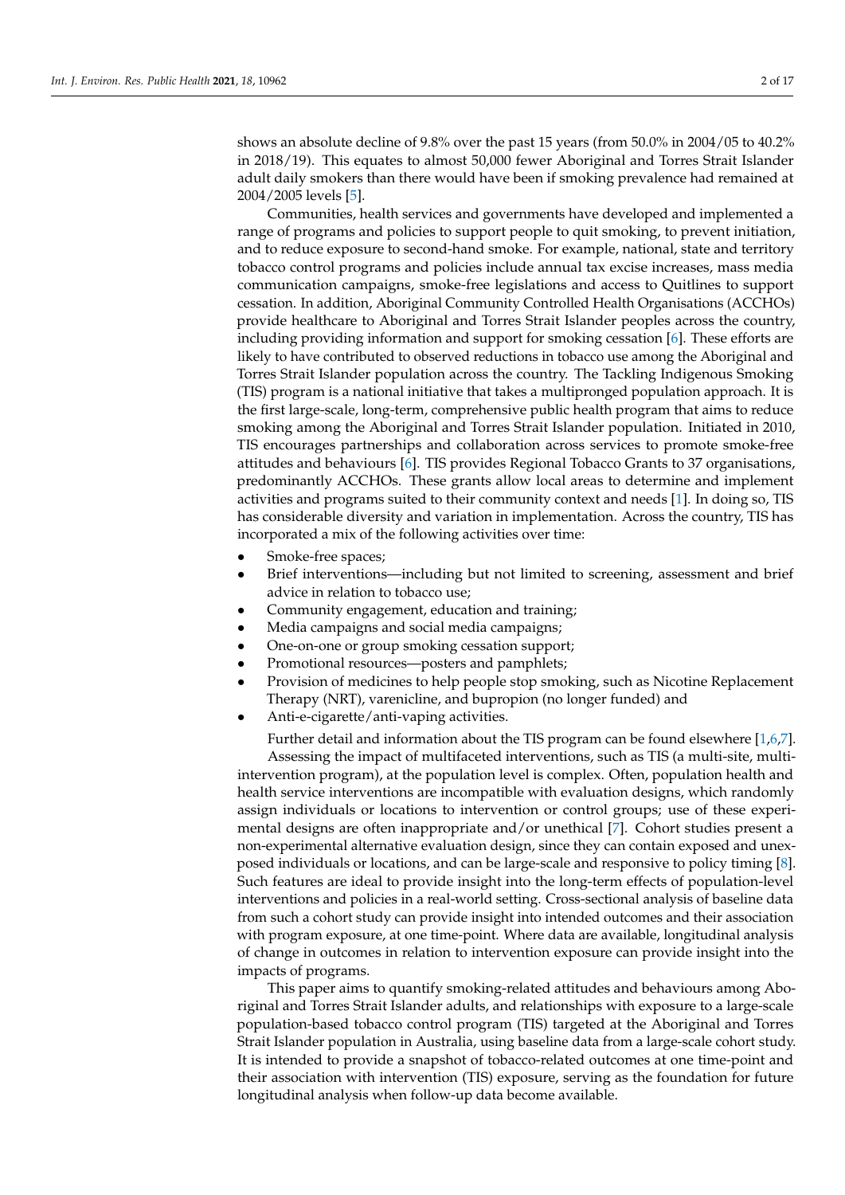shows an absolute decline of 9.8% over the past 15 years (from 50.0% in 2004/05 to 40.2% in 2018/19). This equates to almost 50,000 fewer Aboriginal and Torres Strait Islander adult daily smokers than there would have been if smoking prevalence had remained at 2004/2005 levels [\[5\]](#page-16-2).

Communities, health services and governments have developed and implemented a range of programs and policies to support people to quit smoking, to prevent initiation, and to reduce exposure to second-hand smoke. For example, national, state and territory tobacco control programs and policies include annual tax excise increases, mass media communication campaigns, smoke-free legislations and access to Quitlines to support cessation. In addition, Aboriginal Community Controlled Health Organisations (ACCHOs) provide healthcare to Aboriginal and Torres Strait Islander peoples across the country, including providing information and support for smoking cessation [\[6\]](#page-16-3). These efforts are likely to have contributed to observed reductions in tobacco use among the Aboriginal and Torres Strait Islander population across the country. The Tackling Indigenous Smoking (TIS) program is a national initiative that takes a multipronged population approach. It is the first large-scale, long-term, comprehensive public health program that aims to reduce smoking among the Aboriginal and Torres Strait Islander population. Initiated in 2010, TIS encourages partnerships and collaboration across services to promote smoke-free attitudes and behaviours [\[6\]](#page-16-3). TIS provides Regional Tobacco Grants to 37 organisations, predominantly ACCHOs. These grants allow local areas to determine and implement activities and programs suited to their community context and needs [\[1\]](#page-15-0). In doing so, TIS has considerable diversity and variation in implementation. Across the country, TIS has incorporated a mix of the following activities over time:

- Smoke-free spaces;
- Brief interventions—including but not limited to screening, assessment and brief advice in relation to tobacco use;
- Community engagement, education and training;
- Media campaigns and social media campaigns;
- One-on-one or group smoking cessation support;
- Promotional resources—posters and pamphlets;
- Provision of medicines to help people stop smoking, such as Nicotine Replacement Therapy (NRT), varenicline, and bupropion (no longer funded) and
- Anti-e-cigarette/anti-vaping activities.

Further detail and information about the TIS program can be found elsewhere [\[1](#page-15-0)[,6](#page-16-3)[,7\]](#page-16-4). Assessing the impact of multifaceted interventions, such as TIS (a multi-site, multiintervention program), at the population level is complex. Often, population health and health service interventions are incompatible with evaluation designs, which randomly assign individuals or locations to intervention or control groups; use of these experimental designs are often inappropriate and/or unethical [\[7\]](#page-16-4). Cohort studies present a non-experimental alternative evaluation design, since they can contain exposed and unexposed individuals or locations, and can be large-scale and responsive to policy timing [\[8\]](#page-16-5). Such features are ideal to provide insight into the long-term effects of population-level interventions and policies in a real-world setting. Cross-sectional analysis of baseline data from such a cohort study can provide insight into intended outcomes and their association with program exposure, at one time-point. Where data are available, longitudinal analysis of change in outcomes in relation to intervention exposure can provide insight into the impacts of programs.

This paper aims to quantify smoking-related attitudes and behaviours among Aboriginal and Torres Strait Islander adults, and relationships with exposure to a large-scale population-based tobacco control program (TIS) targeted at the Aboriginal and Torres Strait Islander population in Australia, using baseline data from a large-scale cohort study. It is intended to provide a snapshot of tobacco-related outcomes at one time-point and their association with intervention (TIS) exposure, serving as the foundation for future longitudinal analysis when follow-up data become available.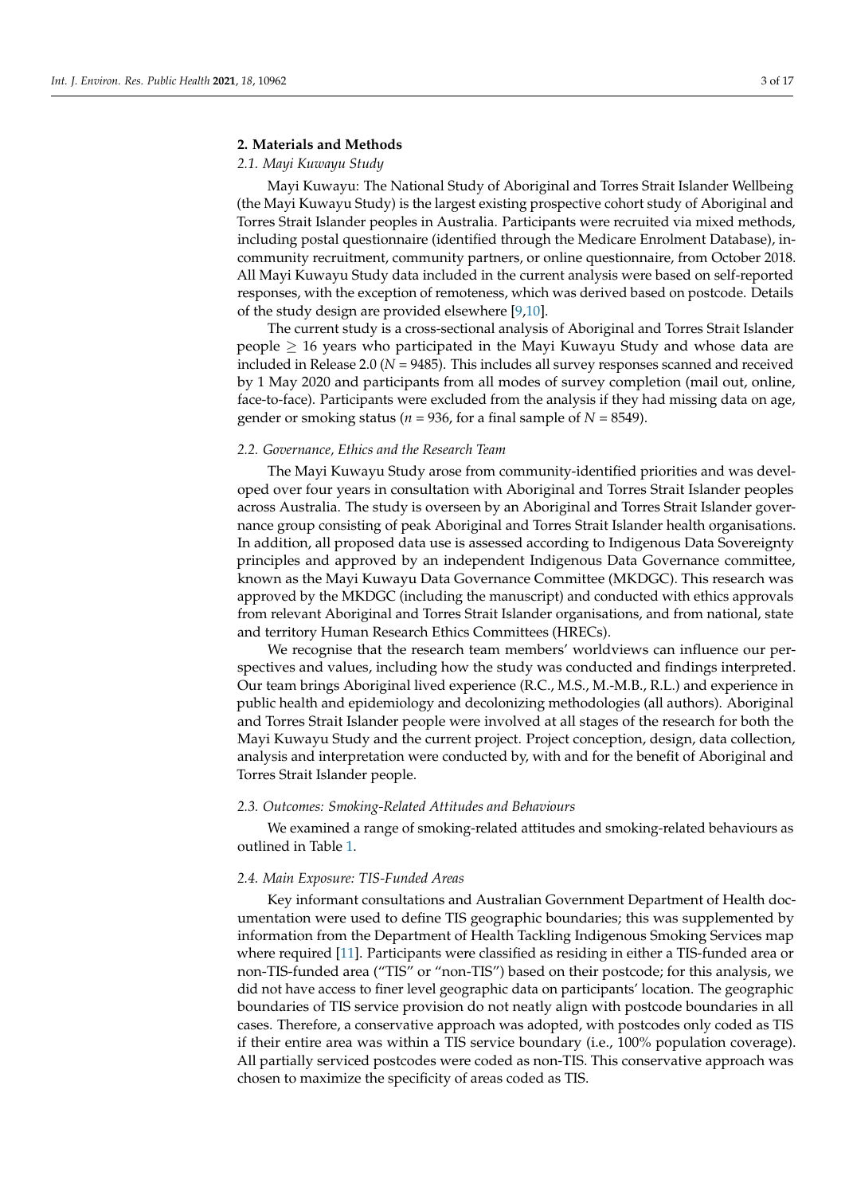# **2. Materials and Methods**

# *2.1. Mayi Kuwayu Study*

Mayi Kuwayu: The National Study of Aboriginal and Torres Strait Islander Wellbeing (the Mayi Kuwayu Study) is the largest existing prospective cohort study of Aboriginal and Torres Strait Islander peoples in Australia. Participants were recruited via mixed methods, including postal questionnaire (identified through the Medicare Enrolment Database), incommunity recruitment, community partners, or online questionnaire, from October 2018. All Mayi Kuwayu Study data included in the current analysis were based on self-reported responses, with the exception of remoteness, which was derived based on postcode. Details of the study design are provided elsewhere [\[9,](#page-16-6)[10\]](#page-16-7).

The current study is a cross-sectional analysis of Aboriginal and Torres Strait Islander people  $\geq$  16 years who participated in the Mayi Kuwayu Study and whose data are included in Release 2.0 (*N* = 9485). This includes all survey responses scanned and received by 1 May 2020 and participants from all modes of survey completion (mail out, online, face-to-face). Participants were excluded from the analysis if they had missing data on age, gender or smoking status ( $n = 936$ , for a final sample of  $N = 8549$ ).

#### *2.2. Governance, Ethics and the Research Team*

The Mayi Kuwayu Study arose from community-identified priorities and was developed over four years in consultation with Aboriginal and Torres Strait Islander peoples across Australia. The study is overseen by an Aboriginal and Torres Strait Islander governance group consisting of peak Aboriginal and Torres Strait Islander health organisations. In addition, all proposed data use is assessed according to Indigenous Data Sovereignty principles and approved by an independent Indigenous Data Governance committee, known as the Mayi Kuwayu Data Governance Committee (MKDGC). This research was approved by the MKDGC (including the manuscript) and conducted with ethics approvals from relevant Aboriginal and Torres Strait Islander organisations, and from national, state and territory Human Research Ethics Committees (HRECs).

We recognise that the research team members' worldviews can influence our perspectives and values, including how the study was conducted and findings interpreted. Our team brings Aboriginal lived experience (R.C., M.S., M.-M.B., R.L.) and experience in public health and epidemiology and decolonizing methodologies (all authors). Aboriginal and Torres Strait Islander people were involved at all stages of the research for both the Mayi Kuwayu Study and the current project. Project conception, design, data collection, analysis and interpretation were conducted by, with and for the benefit of Aboriginal and Torres Strait Islander people.

#### *2.3. Outcomes: Smoking-Related Attitudes and Behaviours*

We examined a range of smoking-related attitudes and smoking-related behaviours as outlined in Table [1.](#page-3-0)

#### *2.4. Main Exposure: TIS-Funded Areas*

Key informant consultations and Australian Government Department of Health documentation were used to define TIS geographic boundaries; this was supplemented by information from the Department of Health Tackling Indigenous Smoking Services map where required [\[11\]](#page-16-8). Participants were classified as residing in either a TIS-funded area or non-TIS-funded area ("TIS" or "non-TIS") based on their postcode; for this analysis, we did not have access to finer level geographic data on participants' location. The geographic boundaries of TIS service provision do not neatly align with postcode boundaries in all cases. Therefore, a conservative approach was adopted, with postcodes only coded as TIS if their entire area was within a TIS service boundary (i.e., 100% population coverage). All partially serviced postcodes were coded as non-TIS. This conservative approach was chosen to maximize the specificity of areas coded as TIS.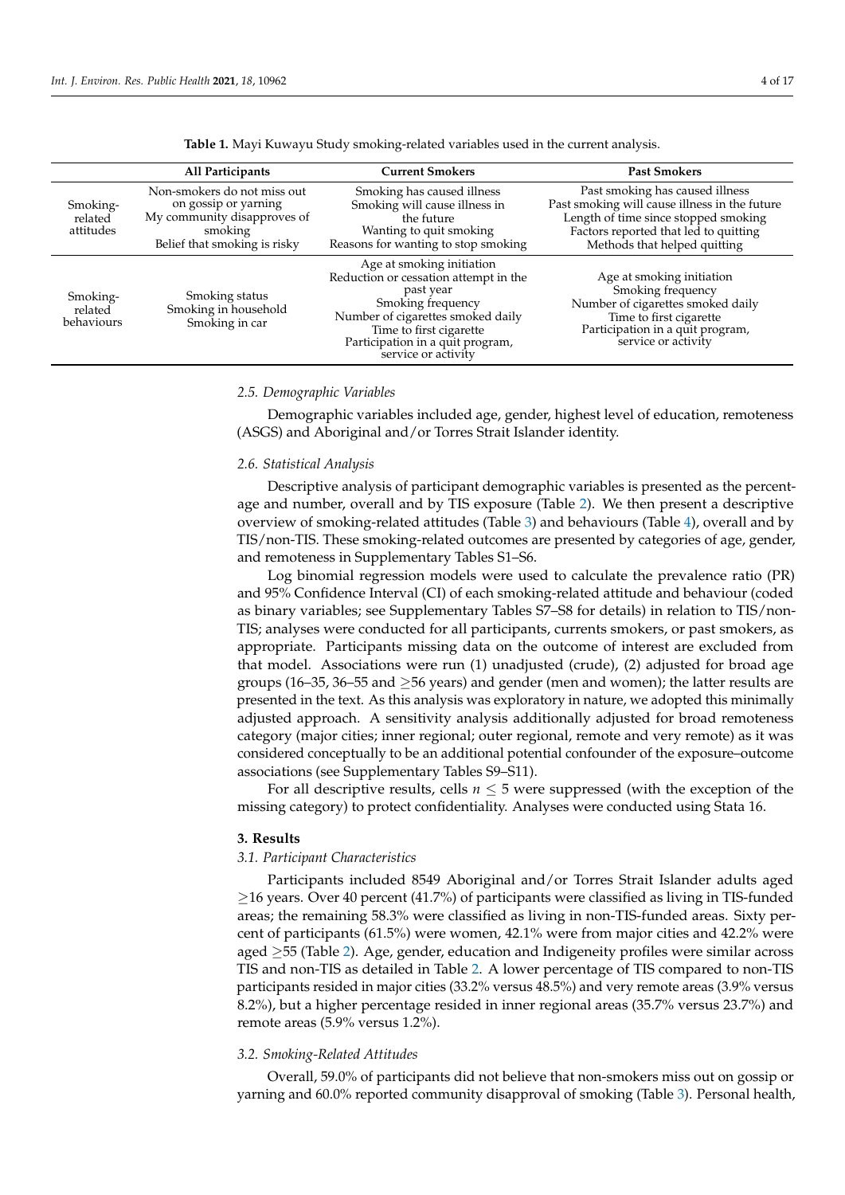<span id="page-3-0"></span>

|                                   | All Participants                                                                                                              | <b>Current Smokers</b>                                                                                                                                                                                                          | <b>Past Smokers</b>                                                                                                                                                                               |
|-----------------------------------|-------------------------------------------------------------------------------------------------------------------------------|---------------------------------------------------------------------------------------------------------------------------------------------------------------------------------------------------------------------------------|---------------------------------------------------------------------------------------------------------------------------------------------------------------------------------------------------|
| Smoking-<br>related<br>attitudes  | Non-smokers do not miss out<br>on gossip or yarning<br>My community disapproves of<br>smoking<br>Belief that smoking is risky | Smoking has caused illness<br>Smoking will cause illness in<br>the future<br>Wanting to quit smoking<br>Reasons for wanting to stop smoking                                                                                     | Past smoking has caused illness<br>Past smoking will cause illness in the future<br>Length of time since stopped smoking<br>Factors reported that led to quitting<br>Methods that helped quitting |
| Smoking-<br>related<br>behaviours | Smoking status<br>Smoking in household<br>Smoking in car                                                                      | Age at smoking initiation<br>Reduction or cessation attempt in the<br>past year<br>Smoking frequency<br>Number of cigarettes smoked daily<br>Time to first cigarette<br>Participation in a quit program,<br>service or activity | Age at smoking initiation<br>Smoking frequency<br>Number of cigarettes smoked daily<br>Time to first cigarette<br>Participation in a quit program,<br>service or activity                         |

**Table 1.** Mayi Kuwayu Study smoking-related variables used in the current analysis.

#### *2.5. Demographic Variables*

Demographic variables included age, gender, highest level of education, remoteness (ASGS) and Aboriginal and/or Torres Strait Islander identity.

#### *2.6. Statistical Analysis*

Descriptive analysis of participant demographic variables is presented as the percentage and number, overall and by TIS exposure (Table [2\)](#page-4-0). We then present a descriptive overview of smoking-related attitudes (Table [3\)](#page-4-1) and behaviours (Table [4\)](#page-6-0), overall and by TIS/non-TIS. These smoking-related outcomes are presented by categories of age, gender, and remoteness in Supplementary Tables S1–S6.

Log binomial regression models were used to calculate the prevalence ratio (PR) and 95% Confidence Interval (CI) of each smoking-related attitude and behaviour (coded as binary variables; see Supplementary Tables S7–S8 for details) in relation to TIS/non-TIS; analyses were conducted for all participants, currents smokers, or past smokers, as appropriate. Participants missing data on the outcome of interest are excluded from that model. Associations were run (1) unadjusted (crude), (2) adjusted for broad age groups (16–35, 36–55 and  $\geq$ 56 years) and gender (men and women); the latter results are presented in the text. As this analysis was exploratory in nature, we adopted this minimally adjusted approach. A sensitivity analysis additionally adjusted for broad remoteness category (major cities; inner regional; outer regional, remote and very remote) as it was considered conceptually to be an additional potential confounder of the exposure–outcome associations (see Supplementary Tables S9–S11).

For all descriptive results, cells  $n \leq 5$  were suppressed (with the exception of the missing category) to protect confidentiality. Analyses were conducted using Stata 16.

#### **3. Results**

#### *3.1. Participant Characteristics*

Participants included 8549 Aboriginal and/or Torres Strait Islander adults aged  $\geq$ 16 years. Over 40 percent (41.7%) of participants were classified as living in TIS-funded areas; the remaining 58.3% were classified as living in non-TIS-funded areas. Sixty percent of participants (61.5%) were women, 42.1% were from major cities and 42.2% were aged ≥55 (Table [2\)](#page-4-0). Age, gender, education and Indigeneity profiles were similar across TIS and non-TIS as detailed in Table [2.](#page-4-0) A lower percentage of TIS compared to non-TIS participants resided in major cities (33.2% versus 48.5%) and very remote areas (3.9% versus 8.2%), but a higher percentage resided in inner regional areas (35.7% versus 23.7%) and remote areas (5.9% versus 1.2%).

#### *3.2. Smoking-Related Attitudes*

Overall, 59.0% of participants did not believe that non-smokers miss out on gossip or yarning and 60.0% reported community disapproval of smoking (Table [3\)](#page-4-1). Personal health,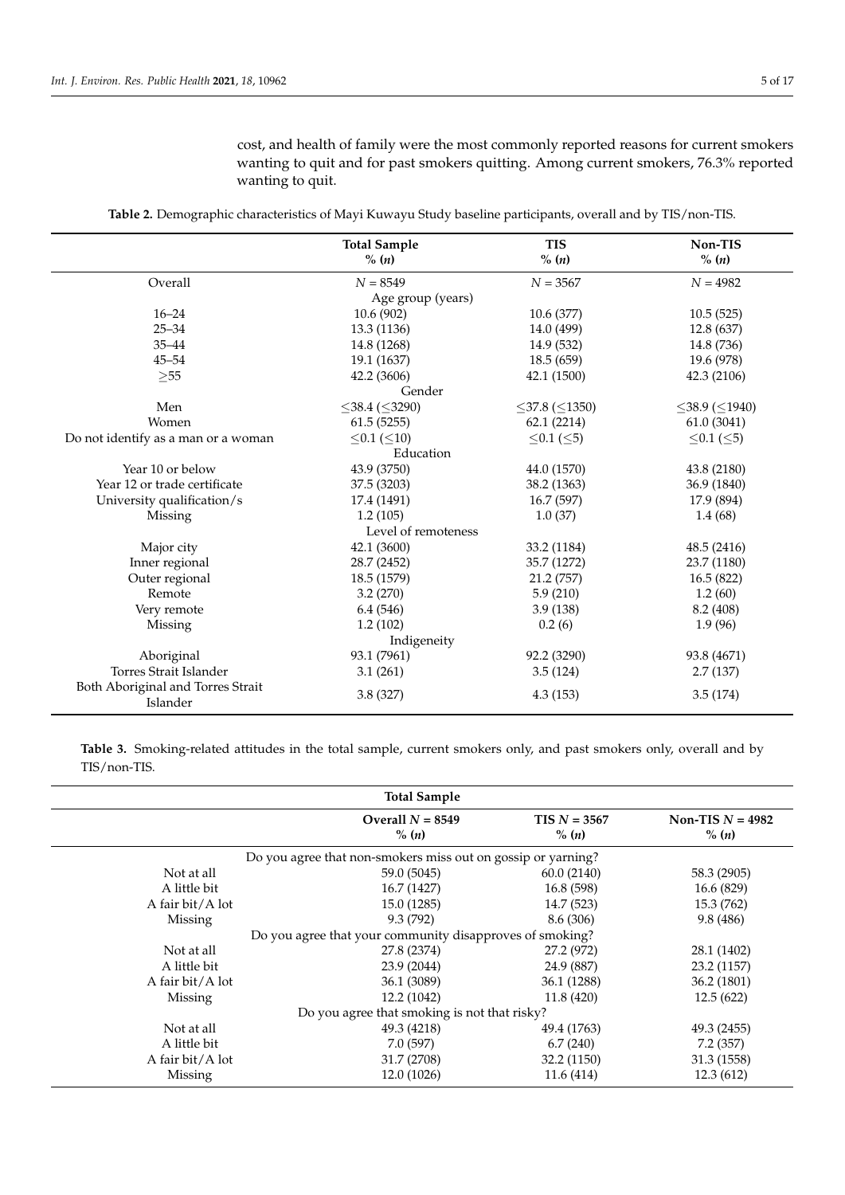cost, and health of family were the most commonly reported reasons for current smokers wanting to quit and for past smokers quitting. Among current smokers, 76.3% reported wanting to quit.

<span id="page-4-0"></span>

|                                               | <b>Total Sample</b>        | <b>TIS</b>                 | Non-TIS                    |
|-----------------------------------------------|----------------------------|----------------------------|----------------------------|
|                                               | $\%$ (n)                   | % (n)                      | % (n)                      |
| Overall                                       | $N = 8549$                 | $N = 3567$                 | $N = 4982$                 |
|                                               | Age group (years)          |                            |                            |
| $16 - 24$                                     | 10.6(902)                  | 10.6 (377)                 | 10.5(525)                  |
| $25 - 34$                                     | 13.3 (1136)                | 14.0 (499)                 | 12.8 (637)                 |
| $35 - 44$                                     | 14.8 (1268)                | 14.9 (532)                 | 14.8 (736)                 |
| $45 - 54$                                     | 19.1 (1637)                | 18.5(659)                  | 19.6 (978)                 |
| $\geq 55$                                     | 42.2 (3606)                | 42.1 (1500)                | 42.3 (2106)                |
|                                               | Gender                     |                            |                            |
| Men                                           | $\leq$ 38.4 ( $\leq$ 3290) | $\leq$ 37.8 ( $\leq$ 1350) | $\leq$ 38.9 ( $\leq$ 1940) |
| Women                                         | 61.5(5255)                 | 62.1 (2214)                | 61.0(3041)                 |
| Do not identify as a man or a woman           | $\leq 0.1$ ( $\leq 10$ )   | ≤0.1 (≤5)                  | ≤0.1 (≤5)                  |
|                                               | Education                  |                            |                            |
| Year 10 or below                              | 43.9 (3750)                | 44.0 (1570)                | 43.8 (2180)                |
| Year 12 or trade certificate                  | 37.5 (3203)                | 38.2 (1363)                | 36.9 (1840)                |
| University qualification/s                    | 17.4 (1491)                | 16.7(597)                  | 17.9 (894)                 |
| Missing                                       | 1.2(105)                   | 1.0(37)                    | 1.4(68)                    |
|                                               | Level of remoteness        |                            |                            |
| Major city                                    | 42.1 (3600)                | 33.2 (1184)                | 48.5 (2416)                |
| Inner regional                                | 28.7 (2452)                | 35.7 (1272)                | 23.7 (1180)                |
| Outer regional                                | 18.5 (1579)                | 21.2 (757)                 | 16.5 (822)                 |
| Remote                                        | 3.2(270)                   | 5.9(210)                   | 1.2(60)                    |
| Very remote                                   | 6.4(546)                   | 3.9(138)                   | 8.2 (408)                  |
| Missing                                       | 1.2(102)                   | 0.2(6)                     | 1.9(96)                    |
|                                               | Indigeneity                |                            |                            |
| Aboriginal                                    | 93.1 (7961)                | 92.2 (3290)                | 93.8 (4671)                |
| Torres Strait Islander                        | 3.1(261)                   | 3.5(124)                   | 2.7(137)                   |
| Both Aboriginal and Torres Strait<br>Islander | 3.8(327)                   | 4.3(153)                   | 3.5(174)                   |

**Table 2.** Demographic characteristics of Mayi Kuwayu Study baseline participants, overall and by TIS/non-TIS.

<span id="page-4-1"></span>**Table 3.** Smoking-related attitudes in the total sample, current smokers only, and past smokers only, overall and by TIS/non-TIS.

|                  | <b>Total Sample</b>                                          |                                     |                                         |
|------------------|--------------------------------------------------------------|-------------------------------------|-----------------------------------------|
|                  | Overall $N = 8549$<br>$\%$ ( <i>n</i> )                      | $TIS N = 3567$<br>$\%$ ( <i>n</i> ) | Non-TIS $N = 4982$<br>$\%$ ( <i>n</i> ) |
|                  | Do you agree that non-smokers miss out on gossip or yarning? |                                     |                                         |
| Not at all       | 59.0 (5045)                                                  | 60.0(2140)                          | 58.3 (2905)                             |
| A little bit     | 16.7 (1427)                                                  | 16.8(598)                           | 16.6(829)                               |
| A fair bit/A lot | 15.0(1285)                                                   | 14.7 (523)                          | 15.3 (762)                              |
| Missing          | 9.3(792)                                                     | 8.6 (306)                           | 9.8(486)                                |
|                  | Do you agree that your community disapproves of smoking?     |                                     |                                         |
| Not at all       | 27.8 (2374)                                                  | 27.2 (972)                          | 28.1 (1402)                             |
| A little bit     | 23.9 (2044)                                                  | 24.9 (887)                          | 23.2 (1157)                             |
| A fair bit/A lot | 36.1 (3089)                                                  | 36.1 (1288)                         | 36.2 (1801)                             |
| Missing          | 12.2 (1042)                                                  | 11.8(420)                           | 12.5(622)                               |
|                  | Do you agree that smoking is not that risky?                 |                                     |                                         |
| Not at all       | 49.3 (4218)                                                  | 49.4 (1763)                         | 49.3 (2455)                             |
| A little bit     | 7.0(597)                                                     | 6.7(240)                            | 7.2(357)                                |
| A fair bit/A lot | 31.7 (2708)                                                  | 32.2 (1150)                         | 31.3 (1558)                             |
| Missing          | 12.0 (1026)                                                  | 11.6 (414)                          | 12.3(612)                               |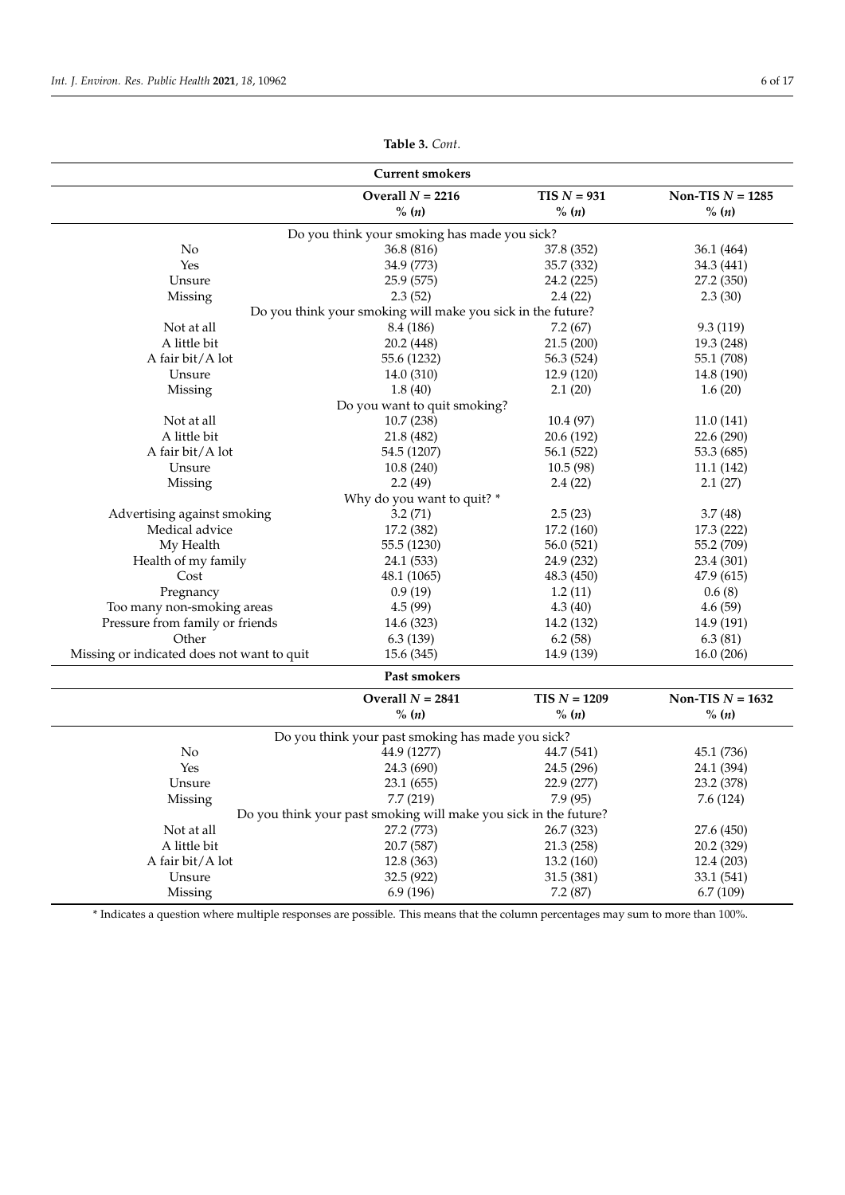$\overline{a}$  $\overline{a}$ 

 $\overline{a}$ 

 $\overline{a}$ 

|                                            | <b>Current smokers</b>                                           |                |                    |
|--------------------------------------------|------------------------------------------------------------------|----------------|--------------------|
|                                            | Overall $N = 2216$                                               | $TIS N = 931$  | Non-TIS $N = 1285$ |
|                                            | $\%$ ( <i>n</i> )                                                | % (n)          | $\%$ ( <i>n</i> )  |
|                                            | Do you think your smoking has made you sick?                     |                |                    |
| No                                         | 36.8 (816)                                                       | 37.8 (352)     | 36.1 (464)         |
| Yes                                        | 34.9 (773)                                                       | 35.7 (332)     | 34.3 (441)         |
| Unsure                                     | 25.9 (575)                                                       | 24.2 (225)     | 27.2 (350)         |
| Missing                                    | 2.3(52)                                                          | 2.4(22)        | 2.3(30)            |
|                                            | Do you think your smoking will make you sick in the future?      |                |                    |
| Not at all                                 | 8.4 (186)                                                        | 7.2(67)        | 9.3(119)           |
| A little bit                               | 20.2 (448)                                                       | 21.5(200)      | 19.3 (248)         |
| A fair bit/A lot                           | 55.6 (1232)                                                      | 56.3 (524)     | 55.1 (708)         |
| Unsure                                     | 14.0 (310)                                                       | 12.9 (120)     | 14.8 (190)         |
| Missing                                    | 1.8(40)                                                          | 2.1(20)        | 1.6(20)            |
|                                            | Do you want to quit smoking?                                     |                |                    |
| Not at all                                 | 10.7 (238)                                                       | 10.4 (97)      | 11.0(141)          |
| A little bit                               | 21.8 (482)                                                       | 20.6 (192)     | 22.6 (290)         |
| A fair bit/A lot                           | 54.5 (1207)                                                      | 56.1 (522)     | 53.3 (685)         |
| Unsure                                     | 10.8(240)                                                        | 10.5(98)       | 11.1(142)          |
| Missing                                    | 2.2(49)                                                          | 2.4(22)        | 2.1(27)            |
|                                            | Why do you want to quit? *                                       |                |                    |
| Advertising against smoking                | 3.2(71)                                                          | 2.5(23)        | 3.7(48)            |
| Medical advice                             | 17.2 (382)                                                       | 17.2 (160)     | 17.3 (222)         |
| My Health                                  | 55.5 (1230)                                                      | 56.0 (521)     | 55.2 (709)         |
| Health of my family                        | 24.1 (533)                                                       | 24.9 (232)     | 23.4 (301)         |
| Cost                                       | 48.1 (1065)                                                      | 48.3 (450)     | 47.9 (615)         |
| Pregnancy                                  | 0.9(19)                                                          | 1.2(11)        | 0.6(8)             |
| Too many non-smoking areas                 | 4.5(99)                                                          | 4.3(40)        | 4.6(59)            |
| Pressure from family or friends            | 14.6 (323)                                                       | 14.2 (132)     | 14.9 (191)         |
| Other                                      | 6.3(139)                                                         | 6.2(58)        | 6.3(81)            |
|                                            |                                                                  |                |                    |
| Missing or indicated does not want to quit | 15.6(345)                                                        | 14.9 (139)     | 16.0(206)          |
|                                            | Past smokers                                                     |                |                    |
|                                            | Overall $N = 2841$                                               | $TIS N = 1209$ | Non-TIS $N = 1632$ |
|                                            | $% (n)$                                                          | % $(n)$        | % (n)              |
|                                            | Do you think your past smoking has made you sick?                |                |                    |
| No                                         | 44.9 (1277)                                                      | 44.7 (541)     | 45.1 (736)         |
| Yes                                        | 24.3 (690)                                                       | 24.5 (296)     | 24.1 (394)         |
| Unsure                                     | 23.1(655)                                                        | 22.9 (277)     | 23.2 (378)         |
| Missing                                    | 7.7(219)                                                         | 7.9(95)        | 7.6 (124)          |
|                                            | Do you think your past smoking will make you sick in the future? |                |                    |
| Not at all                                 | 27.2 (773)                                                       | 26.7 (323)     | 27.6 (450)         |
| A little bit                               | 20.7 (587)                                                       | 21.3 (258)     | 20.2 (329)         |
| A fair bit/A lot                           | 12.8 (363)                                                       | 13.2 (160)     | 12.4 (203)         |
| Unsure                                     | 32.5 (922)                                                       | 31.5 (381)     | 33.1 (541)         |
| Missing                                    | 6.9 (196)                                                        | 7.2(87)        | 6.7(109)           |
|                                            |                                                                  |                |                    |

**Table 3.** *Cont*.

\* Indicates a question where multiple responses are possible. This means that the column percentages may sum to more than 100%.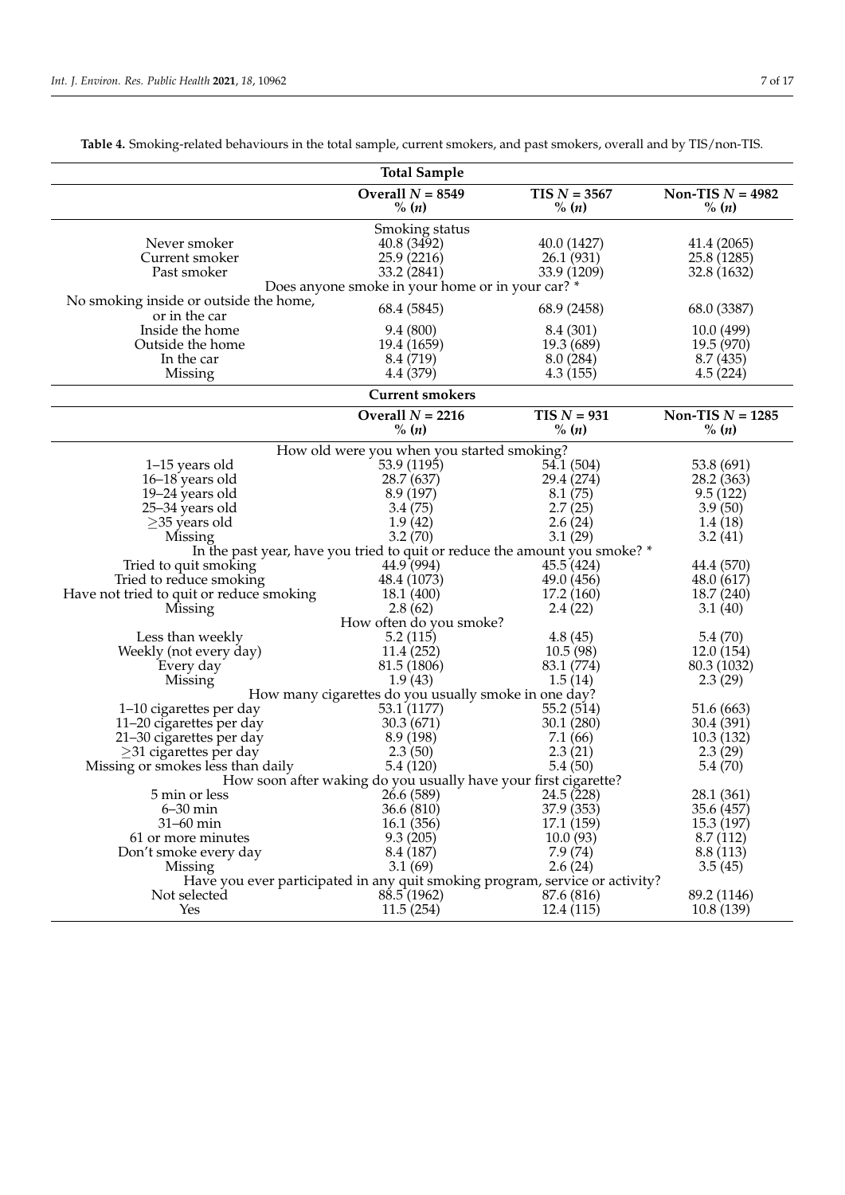|                                                         | <b>Total Sample</b>                                                          |                                         |                                           |
|---------------------------------------------------------|------------------------------------------------------------------------------|-----------------------------------------|-------------------------------------------|
|                                                         | Overall $N = 8549$<br>$\%$ (n)                                               | $TIS N = 3567$<br>% (n)                 | Non-TIS $N = 4982$<br>% (n)               |
| Never smoker<br>Current smoker<br>Past smoker           | Smoking status<br>40.8 (3492)<br>25.9 (2216)<br>33.2 (2841)                  | 40.0 (1427)<br>26.1(931)<br>33.9 (1209) | 41.4 (2065)<br>25.8 (1285)<br>32.8 (1632) |
|                                                         | Does anyone smoke in your home or in your car? *                             |                                         |                                           |
| No smoking inside or outside the home,<br>or in the car | 68.4 (5845)                                                                  | 68.9 (2458)                             | 68.0 (3387)                               |
| Inside the home                                         | 9.4(800)                                                                     | 8.4 (301)                               | 10.0(499)                                 |
| Outside the home                                        | 19.4 (1659)                                                                  | 19.3 (689)                              | 19.5 (970)                                |
| In the car                                              | 8.4 (719)                                                                    | 8.0 (284)                               | 8.7(435)                                  |
| Missing                                                 | 4.4 (379)                                                                    | 4.3(155)                                | 4.5(224)                                  |
|                                                         | <b>Current smokers</b>                                                       |                                         |                                           |
|                                                         | Overall $N = 2216$<br>$\%$ ( <i>n</i> )                                      | $TIS N = 931$<br>% (n)                  | Non-TIS $N = 1285$<br>% (n)               |
|                                                         |                                                                              |                                         |                                           |
|                                                         | How old were you when you started smoking?                                   |                                         |                                           |
| 1–15 years old                                          | 53.9 (1195)                                                                  | 54.1 (504)                              | 53.8 (691)                                |
| 16-18 years old                                         | 28.7 (637)                                                                   | 29.4 (274)                              | 28.2 (363)                                |
| 19–24 years old                                         | 8.9(197)                                                                     | 8.1(75)                                 | 9.5(122)                                  |
| 25-34 years old                                         | 3.4(75)                                                                      | 2.7(25)                                 | 3.9(50)                                   |
| $\geq$ 35 years old                                     | 1.9(42)                                                                      | 2.6(24)                                 | 1.4(18)                                   |
| Missing                                                 | 3.2(70)                                                                      | 3.1(29)                                 | 3.2(41)                                   |
|                                                         | In the past year, have you tried to quit or reduce the amount you smoke? *   |                                         |                                           |
| Tried to quit smoking                                   | 44.9(994)                                                                    | 45.5(424)                               | 44.4 (570)                                |
| Tried to reduce smoking                                 | 48.4 (1073)                                                                  | 49.0 (456)                              | 48.0 (617)                                |
| Have not tried to quit or reduce smoking                | 18.1 (400)                                                                   | 17.2(160)                               | 18.7 (240)                                |
| Missing                                                 | 2.8(62)                                                                      | 2.4(22)                                 | 3.1(40)                                   |
|                                                         | How often do you smoke?                                                      |                                         |                                           |
| Less than weekly                                        | 5.2(115)                                                                     | 4.8(45)                                 | 5.4(70)                                   |
| Weekly (not every day)                                  | 11.4 (252)                                                                   | 10.5(98)                                | 12.0(154)                                 |
| Every day                                               | 81.5 (1806)                                                                  | 83.1 (774)                              | 80.3 (1032)                               |
| Missing                                                 | 1.9(43)                                                                      | 1.5(14)                                 | 2.3(29)                                   |
|                                                         | How many cigarettes do you usually smoke in one day?                         |                                         |                                           |
| 1-10 cigarettes per day                                 | 53.1 (1177)                                                                  | 55.2 (514)                              | 51.6 (663)                                |
|                                                         | 30.3(671)                                                                    |                                         |                                           |
| 11-20 cigarettes per day                                |                                                                              | 30.1 (280)                              | 30.4 (391)                                |
| 21-30 cigarettes per day                                | 8.9 (198)                                                                    | 7.1(66)                                 | 10.3(132)                                 |
| $\geq$ 31 cigarettes per day                            | 2.3(50)                                                                      | 2.3(21)                                 | 2.3(29)                                   |
| Missing or smokes less than daily                       | 5.4(120)                                                                     | 5.4(50)                                 | 5.4(70)                                   |
|                                                         | How soon after waking do you usually have your first cigarette?              |                                         |                                           |
| 5 min or less                                           | 26.6 (589)                                                                   | 24.5(228)                               | 28.1 (361)                                |
| $6-30$ min                                              | 36.6(810)                                                                    | 37.9 (353)                              | 35.6 (457)                                |
| 31-60 min                                               | 16.1(356)                                                                    | 17.1 (159)                              | 15.3 (197)                                |
| 61 or more minutes                                      | 9.3(205)                                                                     | 10.0(93)                                | 8.7(112)                                  |
| Don't smoke every day                                   | 8.4 (187)                                                                    | 7.9 (74)                                | 8.8 (113)                                 |
| Missing                                                 | 3.1(69)                                                                      | 2.6(24)                                 | 3.5(45)                                   |
|                                                         | Have you ever participated in any quit smoking program, service or activity? |                                         |                                           |
| Not selected                                            | 88.5(1962)                                                                   | 87.6 (816)                              | 89.2 (1146)                               |
| Yes                                                     | 11.5(254)                                                                    | 12.4(115)                               | 10.8(139)                                 |

<span id="page-6-0"></span>**Table 4.** Smoking-related behaviours in the total sample, current smokers, and past smokers, overall and by TIS/non-TIS.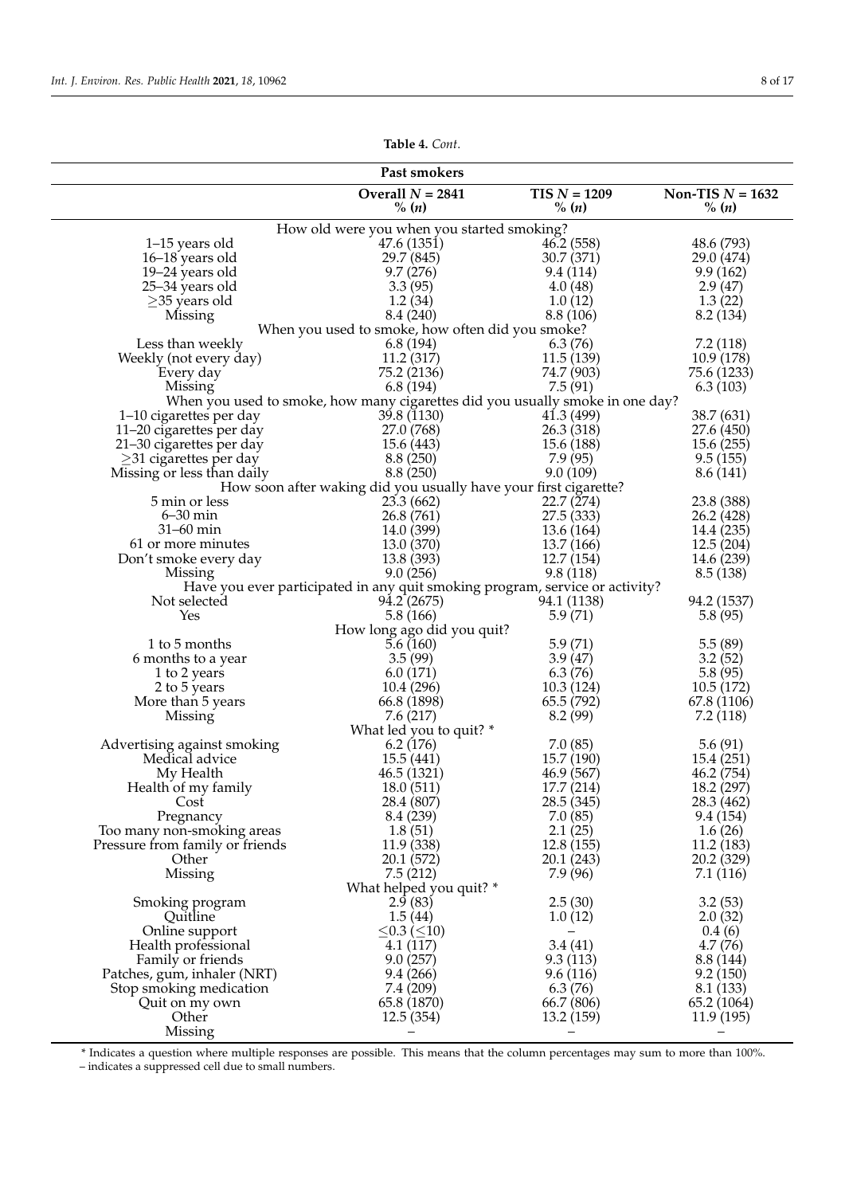| Table 4. Cont. |  |  |
|----------------|--|--|
|----------------|--|--|

| Past smokers                               |                                                                               |                       |                         |  |  |  |
|--------------------------------------------|-------------------------------------------------------------------------------|-----------------------|-------------------------|--|--|--|
|                                            | Overall $N = 2841$<br>$TIS N = 1209$<br>Non-TIS $N = 1632$                    |                       |                         |  |  |  |
|                                            | % (n)                                                                         | % (n)                 | $\%$ ( <i>n</i> )       |  |  |  |
|                                            | How old were you when you started smoking?                                    |                       |                         |  |  |  |
| 1-15 years old                             | 47.6 (1351)                                                                   | 46.2(558)             | 48.6 (793)              |  |  |  |
| 16–18 years old                            | 29.7 (845)                                                                    | 30.7 (371)            | 29.0 (474)              |  |  |  |
| 19-24 years old                            | 9.7(276)                                                                      | 9.4(114)              | 9.9(162)                |  |  |  |
| 25–34 years old                            | 3.3(95)                                                                       | 4.0(48)               | 2.9(47)                 |  |  |  |
| $\geq$ 35 years old                        | 1.2(34)                                                                       | 1.0(12)               | 1.3(22)                 |  |  |  |
| Missing                                    | 8.4 (240)                                                                     | 8.8 (106)             | 8.2 (134)               |  |  |  |
|                                            | When you used to smoke, how often did you smoke?                              |                       |                         |  |  |  |
| Less than weekly<br>Weekly (not every day) | 6.8(194)<br>11.2 (317)                                                        | 6.3(76)<br>11.5(139)  | 7.2(118)<br>10.9(178)   |  |  |  |
| Every day                                  | 75.2 (2136)                                                                   | 74.7 (903)            | 75.6 (1233)             |  |  |  |
| Missing                                    | 6.8(194)                                                                      | 7.5(91)               | 6.3(103)                |  |  |  |
|                                            | When you used to smoke, how many cigarettes did you usually smoke in one day? |                       |                         |  |  |  |
| 1–10 cigarettes per day                    | 39.8 (1130)                                                                   | 41.3(499)             | 38.7 (631)              |  |  |  |
| 11-20 cigarettes per day                   | 27.0 (768)                                                                    | 26.3 (318)            | 27.6 (450)              |  |  |  |
| 21-30 cigarettes per day                   | 15.6 (443)                                                                    | 15.6 (188)            | 15.6(255)               |  |  |  |
| $\geq$ 31 cigarettes per day               | 8.8(250)                                                                      | 7.9(95)               | 9.5(155)                |  |  |  |
| Missing or less than daily                 | 8.8(250)                                                                      | 9.0(109)              | 8.6 (141)               |  |  |  |
|                                            | How soon after waking did you usually have your first cigarette?              |                       |                         |  |  |  |
| 5 min or less                              | 23.3(662)                                                                     | 22.7(274)             | 23.8 (388)              |  |  |  |
| $6 - 30$ min                               | 26.8(761)                                                                     | 27.5(333)             | 26.2 (428)              |  |  |  |
| $31-60$ min                                | 14.0 (399)                                                                    | 13.6 (164)            | 14.4 (235)              |  |  |  |
| 61 or more minutes                         | 13.0 (370)                                                                    | 13.7 (166)            | 12.5(204)               |  |  |  |
| Don't smoke every day                      | 13.8 (393)                                                                    | 12.7(154)             | 14.6 (239)              |  |  |  |
| Missing                                    | 9.0(256)                                                                      | 9.8(118)              | 8.5(138)                |  |  |  |
|                                            | Have you ever participated in any quit smoking program, service or activity?  |                       |                         |  |  |  |
| Not selected                               | 94.2(2675)                                                                    | 94.1 (1138)           | 94.2 (1537)             |  |  |  |
| Yes                                        | 5.8 (166)<br>How long ago did you quit?                                       | 5.9(71)               | 5.8(95)                 |  |  |  |
| 1 to 5 months                              | 5.6(160)                                                                      | 5.9(71)               | 5.5(89)                 |  |  |  |
| 6 months to a year                         | 3.5(99)                                                                       | 3.9(47)               | 3.2(52)                 |  |  |  |
| 1 to 2 years                               | 6.0(171)                                                                      | 6.3(76)               | 5.8(95)                 |  |  |  |
| 2 to 5 years                               | 10.4(296)                                                                     | 10.3(124)             | 10.5(172)               |  |  |  |
| More than 5 years                          | 66.8 (1898)                                                                   | 65.5 (792)            | 67.8 (1106)             |  |  |  |
| Missing                                    | 7.6(217)                                                                      | 8.2(99)               | 7.2 (118)               |  |  |  |
|                                            | What led you to quit? *                                                       |                       |                         |  |  |  |
| Advertising against smoking                | 6.2(176)                                                                      | 7.0(85)               | 5.6(91)                 |  |  |  |
| Medical advice                             | 15.5(441)                                                                     | 15.7 (190)            | 15.4 (251)              |  |  |  |
| My Health                                  | 46.5 (1321)                                                                   | 46.9 (567)            | 46.2 (754)              |  |  |  |
| Health of my family                        | 18.0(511)                                                                     | 17.7(214)             | 18.2 (297)              |  |  |  |
| Cost                                       | 28.4 (807)                                                                    | 28.5 (345)            | 28.3 (462)              |  |  |  |
| Pregnancy                                  | 8.4 (239)                                                                     | 7.0(85)               | 9.4 (154)               |  |  |  |
| Too many non-smoking areas                 | 1.8(51)                                                                       | 2.1(25)               | 1.6(26)                 |  |  |  |
| Pressure from family or friends            | 11.9 (338)                                                                    | 12.8(155)             | 11.2 (183)              |  |  |  |
| Other<br>Missing                           | 20.1 (572)<br>7.5(212)                                                        | 20.1 (243)<br>7.9(96) | 20.2 (329)<br>7.1 (116) |  |  |  |
|                                            | What helped you quit? *                                                       |                       |                         |  |  |  |
| Smoking program                            | 2.9(83)                                                                       | 2.5(30)               | 3.2(53)                 |  |  |  |
| Quitline                                   | 1.5(44)                                                                       | 1.0(12)               | 2.0(32)                 |  |  |  |
| Online support                             | ≤0.3 (≤10)                                                                    |                       | 0.4(6)                  |  |  |  |
| Health professional                        | 4.1 (117)                                                                     | 3.4(41)               | 4.7(76)                 |  |  |  |
| Family or friends                          | 9.0(257)                                                                      | 9.3(113)              | 8.8 (144)               |  |  |  |
| Patches, gum, inhaler (NRT)                | 9.4(266)                                                                      | 9.6(116)              | 9.2(150)                |  |  |  |
| Stop smoking medication                    | 7.4 (209)                                                                     | 6.3(76)               | 8.1 (133)               |  |  |  |
| Quit on my own                             | 65.8 (1870)                                                                   | 66.7 (806)            | 65.2 (1064)             |  |  |  |
| Other                                      | 12.5(354)                                                                     | 13.2(159)             | 11.9 (195)              |  |  |  |
| Missing                                    |                                                                               |                       |                         |  |  |  |

\* Indicates a question where multiple responses are possible. This means that the column percentages may sum to more than 100%.

– indicates a suppressed cell due to small numbers.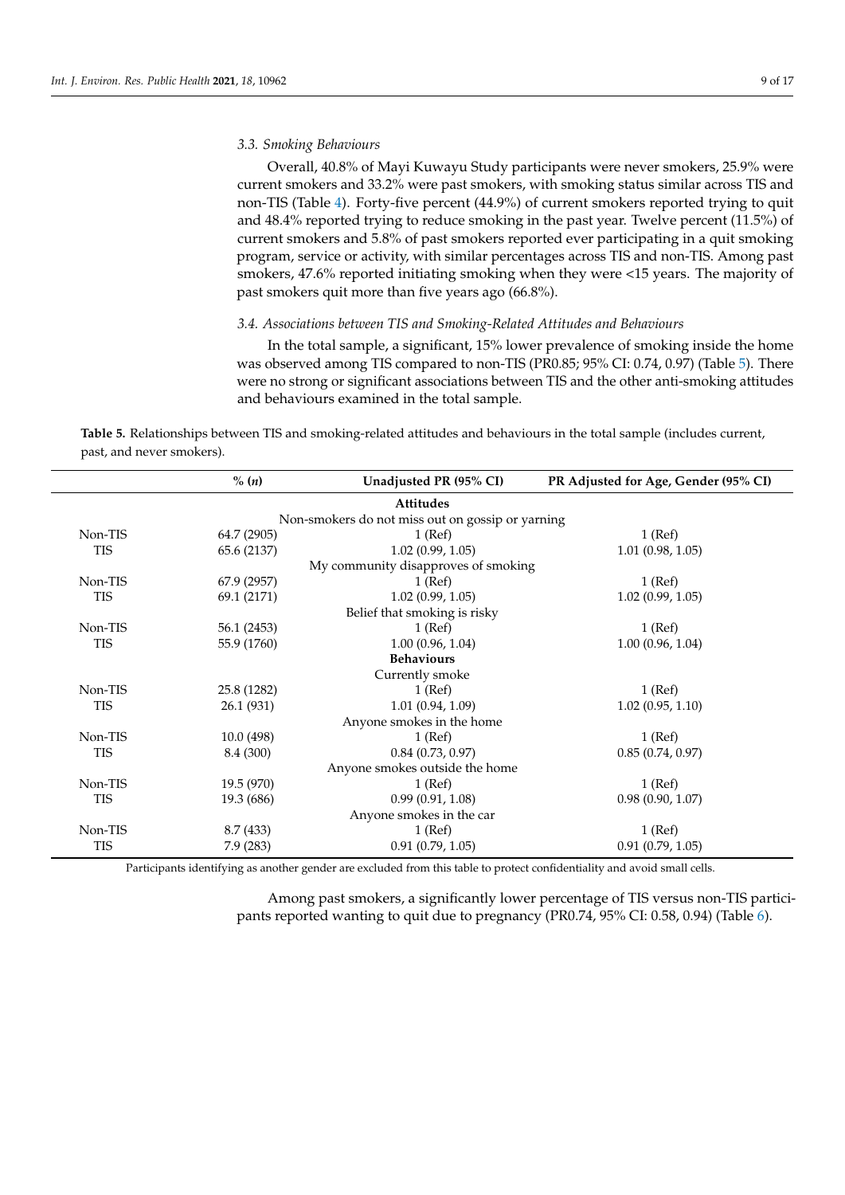# *3.3. Smoking Behaviours*

Overall, 40.8% of Mayi Kuwayu Study participants were never smokers, 25.9% were current smokers and 33.2% were past smokers, with smoking status similar across TIS and non-TIS (Table [4\)](#page-6-0). Forty-five percent (44.9%) of current smokers reported trying to quit and 48.4% reported trying to reduce smoking in the past year. Twelve percent (11.5%) of current smokers and 5.8% of past smokers reported ever participating in a quit smoking program, service or activity, with similar percentages across TIS and non-TIS. Among past smokers, 47.6% reported initiating smoking when they were <15 years. The majority of past smokers quit more than five years ago (66.8%).

# *3.4. Associations between TIS and Smoking-Related Attitudes and Behaviours*

In the total sample, a significant, 15% lower prevalence of smoking inside the home was observed among TIS compared to non-TIS (PR0.85; 95% CI: 0.74, 0.97) (Table [5\)](#page-8-0). There were no strong or significant associations between TIS and the other anti-smoking attitudes and behaviours examined in the total sample.

<span id="page-8-0"></span>**Table 5.** Relationships between TIS and smoking-related attitudes and behaviours in the total sample (includes current, past, and never smokers).

|                                | % (n)       | Unadjusted PR (95% CI)                           | PR Adjusted for Age, Gender (95% CI) |  |
|--------------------------------|-------------|--------------------------------------------------|--------------------------------------|--|
|                                |             | <b>Attitudes</b>                                 |                                      |  |
|                                |             | Non-smokers do not miss out on gossip or yarning |                                      |  |
| Non-TIS                        | 64.7 (2905) | $1$ (Ref)                                        | $1$ (Ref)                            |  |
| <b>TIS</b>                     | 65.6 (2137) | 1.02(0.99, 1.05)                                 | 1.01(0.98, 1.05)                     |  |
|                                |             | My community disapproves of smoking              |                                      |  |
| Non-TIS                        | 67.9 (2957) | $1$ (Ref)                                        | $1$ (Ref)                            |  |
| <b>TIS</b>                     | 69.1 (2171) | 1.02(0.99, 1.05)                                 | 1.02(0.99, 1.05)                     |  |
|                                |             | Belief that smoking is risky                     |                                      |  |
| Non-TIS                        | 56.1 (2453) | $1$ (Ref)                                        | $1$ (Ref)                            |  |
| <b>TIS</b>                     | 55.9 (1760) | 1.00(0.96, 1.04)                                 | 1.00(0.96, 1.04)                     |  |
|                                |             | <b>Behaviours</b>                                |                                      |  |
|                                |             | Currently smoke                                  |                                      |  |
| Non-TIS                        | 25.8 (1282) | $1$ (Ref)                                        | $1$ (Ref)                            |  |
| <b>TIS</b>                     | 26.1 (931)  | 1.01(0.94, 1.09)                                 | 1.02(0.95, 1.10)                     |  |
|                                |             | Anyone smokes in the home                        |                                      |  |
| Non-TIS                        | 10.0(498)   | $1$ (Ref)                                        | $1$ (Ref)                            |  |
| <b>TIS</b>                     | 8.4 (300)   | 0.84(0.73, 0.97)                                 | 0.85(0.74, 0.97)                     |  |
| Anyone smokes outside the home |             |                                                  |                                      |  |
| Non-TIS                        | 19.5 (970)  | $1$ (Ref)                                        | $1$ (Ref)                            |  |
| <b>TIS</b>                     | 19.3 (686)  | 0.99(0.91, 1.08)                                 | 0.98(0.90, 1.07)                     |  |
|                                |             | Anyone smokes in the car                         |                                      |  |
| Non-TIS                        | 8.7 (433)   | $1$ (Ref)                                        | $1$ (Ref)                            |  |
| <b>TIS</b>                     | 7.9(283)    | 0.91(0.79, 1.05)                                 | 0.91(0.79, 1.05)                     |  |

Participants identifying as another gender are excluded from this table to protect confidentiality and avoid small cells.

Among past smokers, a significantly lower percentage of TIS versus non-TIS participants reported wanting to quit due to pregnancy (PR0.74, 95% CI: 0.58, 0.94) (Table [6\)](#page-9-0).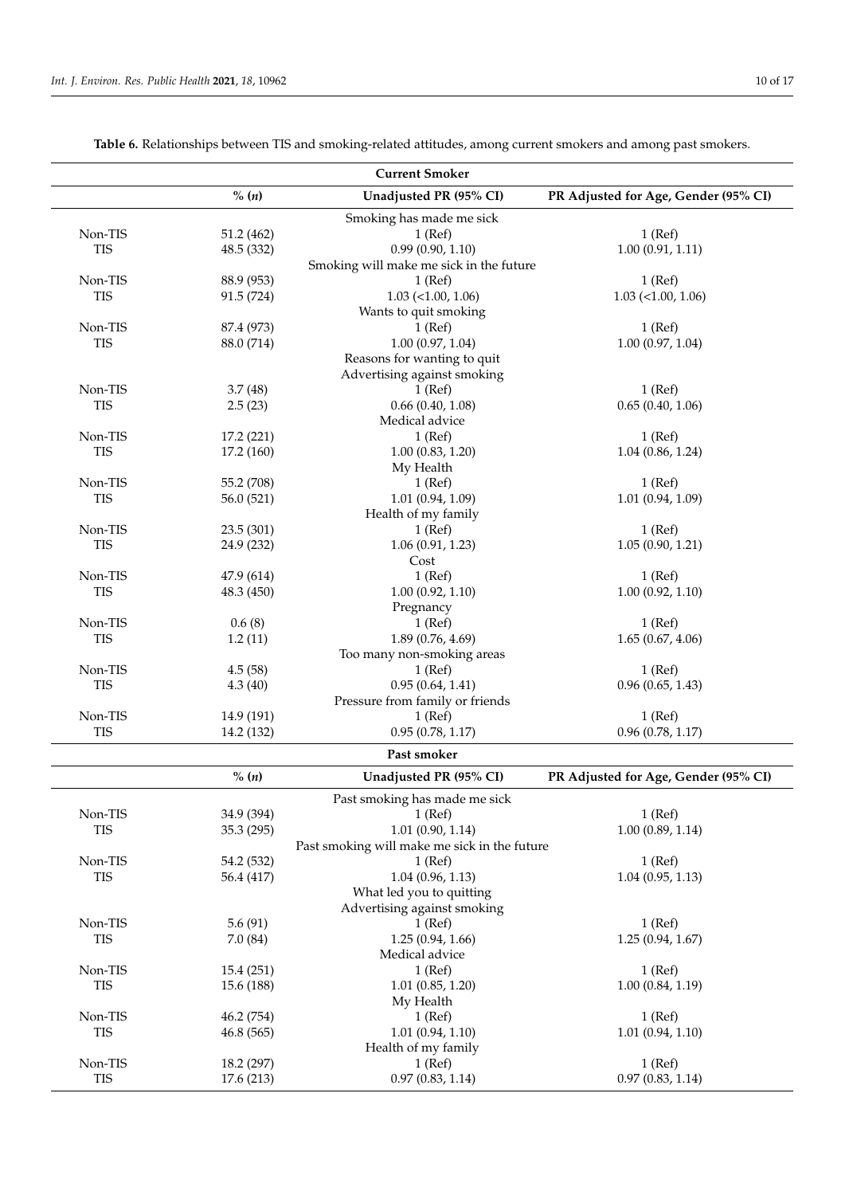<span id="page-9-0"></span>

|            |            | <b>Current Smoker</b>                        |                                      |
|------------|------------|----------------------------------------------|--------------------------------------|
|            | % (n)      | Unadjusted PR (95% CI)                       | PR Adjusted for Age, Gender (95% CI) |
|            |            | Smoking has made me sick                     |                                      |
| Non-TIS    | 51.2 (462) | $1$ (Ref)                                    | $1$ (Ref)                            |
| <b>TIS</b> | 48.5 (332) | 0.99(0.90, 1.10)                             | 1.00(0.91, 1.11)                     |
|            |            | Smoking will make me sick in the future      |                                      |
| Non-TIS    | 88.9 (953) | $1$ (Ref)                                    | $1$ (Ref)                            |
| <b>TIS</b> | 91.5 (724) | $1.03$ (<1.00, 1.06)                         | $1.03$ (<1.00, 1.06)                 |
|            |            | Wants to quit smoking                        |                                      |
| Non-TIS    | 87.4 (973) | $1$ (Ref)                                    | $1$ (Ref)                            |
| <b>TIS</b> | 88.0 (714) | 1.00(0.97, 1.04)                             | 1.00(0.97, 1.04)                     |
|            |            | Reasons for wanting to quit                  |                                      |
|            |            | Advertising against smoking                  |                                      |
| Non-TIS    | 3.7(48)    | $1$ (Ref)                                    | $1$ (Ref)                            |
| <b>TIS</b> | 2.5(23)    | 0.66(0.40, 1.08)                             | 0.65(0.40, 1.06)                     |
|            |            | Medical advice                               |                                      |
| Non-TIS    | 17.2 (221) | $1$ (Ref)                                    | $1$ (Ref)                            |
| <b>TIS</b> | 17.2 (160) | 1.00(0.83, 1.20)                             | 1.04(0.86, 1.24)                     |
|            |            | My Health                                    |                                      |
| Non-TIS    | 55.2 (708) | $1$ (Ref)                                    | $1$ (Ref)                            |
| <b>TIS</b> | 56.0 (521) | 1.01(0.94, 1.09)                             | 1.01(0.94, 1.09)                     |
|            |            | Health of my family                          |                                      |
| Non-TIS    | 23.5 (301) | $1$ (Ref)                                    | $1$ (Ref)                            |
| <b>TIS</b> | 24.9 (232) | 1.06(0.91, 1.23)                             | 1.05(0.90, 1.21)                     |
|            |            | Cost                                         |                                      |
| Non-TIS    | 47.9 (614) | $1$ (Ref)                                    | $1$ (Ref)                            |
| <b>TIS</b> | 48.3 (450) | 1.00(0.92, 1.10)                             | 1.00(0.92, 1.10)                     |
|            |            | Pregnancy                                    |                                      |
| Non-TIS    | 0.6(8)     | $1$ (Ref)                                    | $1$ (Ref)                            |
| <b>TIS</b> | 1.2(11)    | 1.89(0.76, 4.69)                             | 1.65(0.67, 4.06)                     |
|            |            | Too many non-smoking areas                   |                                      |
| Non-TIS    | 4.5(58)    | $1$ (Ref)                                    | $1$ (Ref)                            |
| <b>TIS</b> | 4.3(40)    | 0.95(0.64, 1.41)                             | 0.96(0.65, 1.43)                     |
|            |            | Pressure from family or friends              |                                      |
| Non-TIS    | 14.9 (191) | $1$ (Ref)                                    | $1$ (Ref)                            |
| <b>TIS</b> | 14.2 (132) | 0.95(0.78, 1.17)                             | 0.96(0.78, 1.17)                     |
|            |            | Past smoker                                  |                                      |
|            | % (n)      | Unadjusted PR (95% CI)                       | PR Adjusted for Age, Gender (95% CI) |
|            |            | Past smoking has made me sick                |                                      |
| Non-TIS    | 34.9 (394) | $1$ (Ref)                                    | $1$ (Ref)                            |
| <b>TIS</b> | 35.3 (295) | 1.01(0.90, 1.14)                             | 1.00(0.89, 1.14)                     |
|            |            | Past smoking will make me sick in the future |                                      |
| Non-TIS    | 54.2 (532) | $1$ (Ref)                                    | $1$ (Ref)                            |
| <b>TIS</b> | 56.4 (417) | 1.04(0.96, 1.13)                             | 1.04(0.95, 1.13)                     |
|            |            | What led you to quitting                     |                                      |
|            |            | Advertising against smoking                  |                                      |
| Non-TIS    | 5.6(91)    | $1$ (Ref)                                    | $1$ (Ref)                            |
| <b>TIS</b> | 7.0(84)    | 1.25(0.94, 1.66)                             | 1.25(0.94, 1.67)                     |
|            |            | Medical advice                               |                                      |
| Non-TIS    | 15.4(251)  | $1$ (Ref)                                    | $1$ (Ref)                            |
| <b>TIS</b> | 15.6 (188) | 1.01(0.85, 1.20)                             | 1.00(0.84, 1.19)                     |
|            |            | My Health                                    |                                      |
| Non-TIS    | 46.2 (754) | $1$ (Ref)                                    | $1$ (Ref)                            |
| <b>TIS</b> | 46.8 (565) | 1.01(0.94, 1.10)                             | 1.01(0.94, 1.10)                     |
|            |            | Health of my family                          |                                      |
| Non-TIS    | 18.2 (297) | $1$ (Ref)                                    | $1$ (Ref)                            |
| <b>TIS</b> | 17.6 (213) | 0.97(0.83, 1.14)                             | 0.97(0.83, 1.14)                     |
|            |            |                                              |                                      |

**Table 6.** Relationships between TIS and smoking-related attitudes, among current smokers and among past smokers.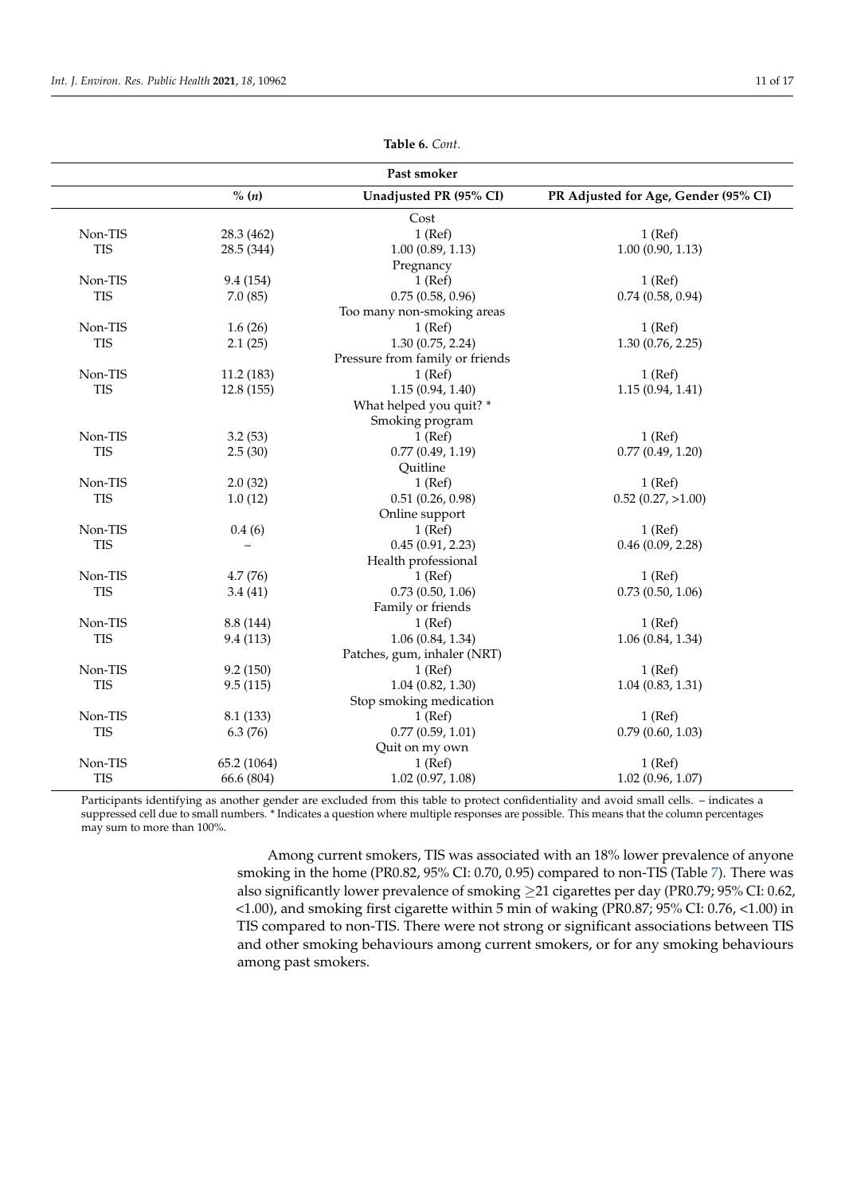| Past smoker |             |                                 |                                      |
|-------------|-------------|---------------------------------|--------------------------------------|
|             | % (n)       | Unadjusted PR (95% CI)          | PR Adjusted for Age, Gender (95% CI) |
|             |             | Cost                            |                                      |
| Non-TIS     | 28.3 (462)  | $1$ (Ref)                       | $1$ (Ref)                            |
| <b>TIS</b>  | 28.5 (344)  | 1.00(0.89, 1.13)                | 1.00(0.90, 1.13)                     |
|             |             | Pregnancy                       |                                      |
| Non-TIS     | 9.4 (154)   | $1$ (Ref)                       | $1$ (Ref)                            |
| <b>TIS</b>  | 7.0(85)     | 0.75(0.58, 0.96)                | $0.74$ $(0.58, 0.94)$                |
|             |             | Too many non-smoking areas      |                                      |
| Non-TIS     | 1.6(26)     | $1$ (Ref)                       | $1$ (Ref)                            |
| <b>TIS</b>  | 2.1(25)     | 1.30(0.75, 2.24)                | 1.30(0.76, 2.25)                     |
|             |             | Pressure from family or friends |                                      |
| Non-TIS     | 11.2(183)   | $1$ (Ref)                       | $1$ (Ref)                            |
| <b>TIS</b>  | 12.8 (155)  | 1.15(0.94, 1.40)                | 1.15(0.94, 1.41)                     |
|             |             | What helped you quit? *         |                                      |
|             |             | Smoking program                 |                                      |
| Non-TIS     | 3.2(53)     | $1$ (Ref)                       | $1$ (Ref)                            |
| <b>TIS</b>  | 2.5(30)     | 0.77(0.49, 1.19)                | 0.77(0.49, 1.20)                     |
|             |             | Quitline                        |                                      |
| Non-TIS     | 2.0(32)     | $1$ (Ref)                       | $1$ (Ref)                            |
| <b>TIS</b>  | 1.0(12)     | 0.51(0.26, 0.98)                | $0.52$ $(0.27, >1.00)$               |
|             |             | Online support                  |                                      |
| Non-TIS     | 0.4(6)      | $1$ (Ref)                       | $1$ (Ref)                            |
| <b>TIS</b>  |             | 0.45(0.91, 2.23)                | 0.46(0.09, 2.28)                     |
|             |             | Health professional             |                                      |
| Non-TIS     | 4.7(76)     | $1$ (Ref)                       | $1$ (Ref)                            |
| <b>TIS</b>  | 3.4(41)     | 0.73(0.50, 1.06)                | 0.73(0.50, 1.06)                     |
|             |             | Family or friends               |                                      |
| Non-TIS     | 8.8 (144)   | $1$ (Ref)                       | $1$ (Ref)                            |
| <b>TIS</b>  | 9.4(113)    | 1.06(0.84, 1.34)                | 1.06(0.84, 1.34)                     |
|             |             | Patches, gum, inhaler (NRT)     |                                      |
| Non-TIS     | 9.2(150)    | $1$ (Ref)                       | $1$ (Ref)                            |
| <b>TIS</b>  | 9.5(115)    | 1.04(0.82, 1.30)                | 1.04(0.83, 1.31)                     |
|             |             | Stop smoking medication         |                                      |
| Non-TIS     | 8.1(133)    | $1$ (Ref)                       | $1$ (Ref)                            |
| <b>TIS</b>  | 6.3(76)     | 0.77(0.59, 1.01)                | 0.79(0.60, 1.03)                     |
|             |             |                                 |                                      |
|             |             |                                 |                                      |
| <b>TIS</b>  | 66.6 (804)  | 1.02(0.97, 1.08)                | 1.02(0.96, 1.07)                     |
| Non-TIS     | 65.2 (1064) | Quit on my own<br>$1$ (Ref)     | $1$ (Ref)                            |

**Table 6.** *Cont*.

Participants identifying as another gender are excluded from this table to protect confidentiality and avoid small cells. – indicates a suppressed cell due to small numbers. \* Indicates a question where multiple responses are possible. This means that the column percentages may sum to more than 100%.

> Among current smokers, TIS was associated with an 18% lower prevalence of anyone smoking in the home (PR0.82, 95% CI: 0.70, 0.95) compared to non-TIS (Table [7\)](#page-11-0). There was also significantly lower prevalence of smoking ≥21 cigarettes per day (PR0.79; 95% CI: 0.62, <1.00), and smoking first cigarette within 5 min of waking (PR0.87; 95% CI: 0.76, <1.00) in TIS compared to non-TIS. There were not strong or significant associations between TIS and other smoking behaviours among current smokers, or for any smoking behaviours among past smokers.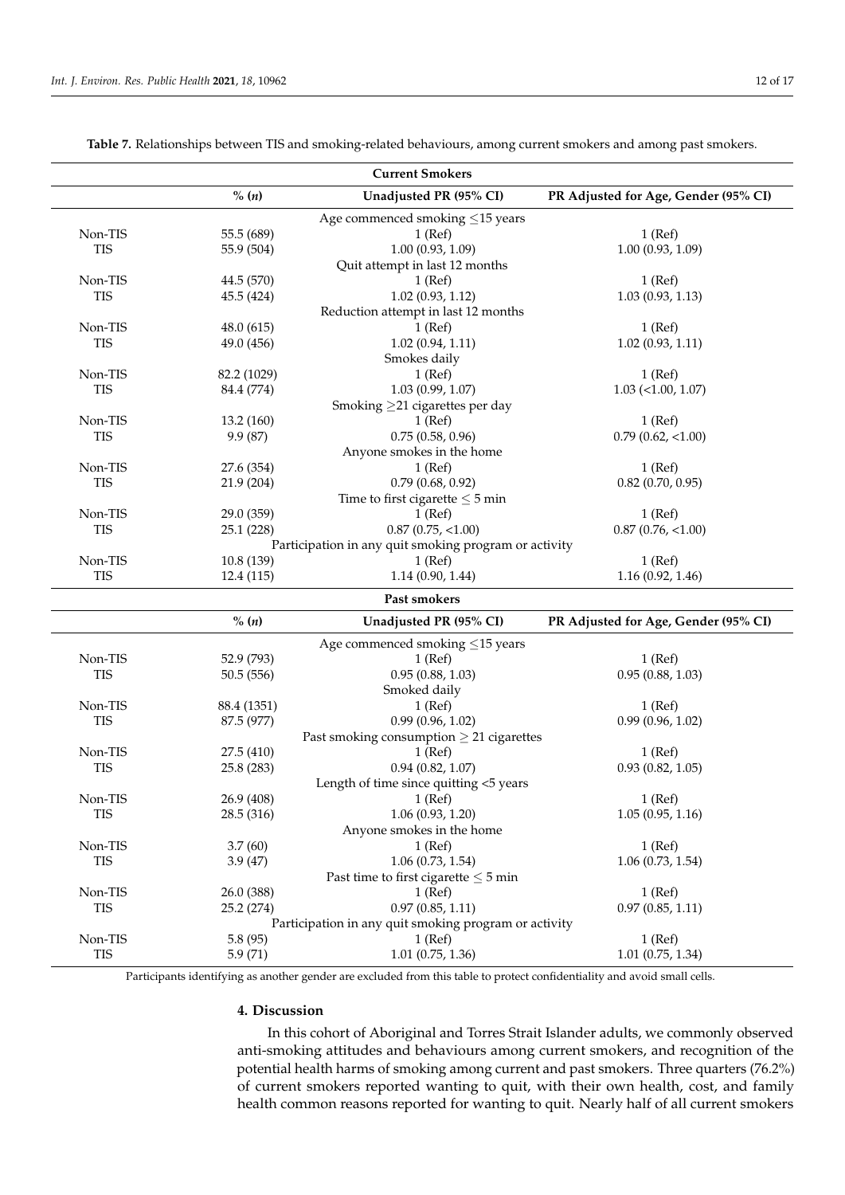<span id="page-11-0"></span>

| % (n)<br>Unadjusted PR (95% CI)<br>PR Adjusted for Age, Gender (95% CI)<br>Age commenced smoking $\leq$ 15 years<br>55.5 (689)<br>$1$ (Ref)<br>Non-TIS<br>$1$ (Ref)<br>1.00(0.93, 1.09)<br><b>TIS</b><br>1.00(0.93, 1.09)<br>55.9 (504)<br>Quit attempt in last 12 months<br>Non-TIS<br>44.5 (570)<br>$1$ (Ref)<br>$1$ (Ref)<br>1.02(0.93, 1.12)<br><b>TIS</b><br>1.03(0.93, 1.13)<br>45.5(424)<br>Reduction attempt in last 12 months<br>$1$ (Ref)<br>Non-TIS<br>48.0(615)<br>$1$ (Ref)<br><b>TIS</b><br>1.02(0.94, 1.11)<br>49.0 (456)<br>1.02(0.93, 1.11)<br>Smokes daily<br>Non-TIS<br>82.2 (1029)<br>$1$ (Ref)<br>$1$ (Ref)<br>1.03(0.99, 1.07)<br><b>TIS</b><br>84.4 (774)<br>$1.03$ (<1.00, 1.07)<br>Smoking $\geq$ 21 cigarettes per day<br>Non-TIS<br>$1$ (Ref)<br>$1$ (Ref)<br>13.2(160)<br><b>TIS</b><br>0.75(0.58, 0.96)<br>9.9 (87)<br>$0.79$ $(0.62, <1.00)$<br>Anyone smokes in the home<br>Non-TIS<br>27.6 (354)<br>$1$ (Ref)<br>$1$ (Ref)<br>0.79(0.68, 0.92)<br><b>TIS</b><br>21.9 (204)<br>$0.82$ (0.70, 0.95)<br>Time to first cigarette $\leq$ 5 min<br>Non-TIS<br>29.0 (359)<br>$1$ (Ref)<br>$1$ (Ref)<br><b>TIS</b><br>$0.87$ $(0.75, <1.00)$<br>$0.87$ $(0.76, <1.00)$<br>25.1 (228)<br>Participation in any quit smoking program or activity<br>Non-TIS<br>10.8 (139)<br>$1$ (Ref)<br>$1$ (Ref)<br><b>TIS</b><br>12.4 (115)<br>1.14(0.90, 1.44)<br>1.16(0.92, 1.46)<br>Past smokers<br>$\%$ (n)<br>Unadjusted PR (95% CI)<br>PR Adjusted for Age, Gender (95% CI)<br>Age commenced smoking $\leq$ 15 years<br>Non-TIS<br>52.9 (793)<br>$1$ (Ref)<br>$1$ (Ref)<br><b>TIS</b><br>0.95(0.88, 1.03)<br>0.95(0.88, 1.03)<br>50.5(556)<br>Smoked daily<br>Non-TIS<br>88.4 (1351)<br>$1$ (Ref)<br>$1$ (Ref)<br>0.99(0.96, 1.02)<br><b>TIS</b><br>0.99(0.96, 1.02)<br>87.5 (977)<br>Past smoking consumption $\geq 21$ cigarettes<br>Non-TIS<br>27.5 (410)<br>$1$ (Ref)<br>$1$ (Ref)<br><b>TIS</b><br>0.94(0.82, 1.07)<br>0.93(0.82, 1.05)<br>25.8 (283)<br>Length of time since quitting <5 years<br>Non-TIS<br>26.9 (408)<br>$1$ (Ref)<br>1 (Ref)<br><b>TIS</b><br>1.06(0.93, 1.20)<br>28.5 (316)<br>1.05(0.95, 1.16)<br>Anyone smokes in the home<br>Non-TIS<br>3.7(60)<br>$1$ (Ref)<br>$1$ (Ref)<br><b>TIS</b><br>1.06(0.73, 1.54)<br>1.06(0.73, 1.54)<br>3.9(47)<br>Past time to first cigarette $\leq$ 5 min<br>Non-TIS<br>26.0 (388)<br>$1$ (Ref)<br>$1$ (Ref)<br>0.97(0.85, 1.11)<br><b>TIS</b><br>0.97(0.85, 1.11)<br>25.2 (274)<br>Participation in any quit smoking program or activity<br>Non-TIS<br>$1$ (Ref)<br>5.8(95)<br>$1$ (Ref)<br><b>TIS</b><br>5.9(71)<br>1.01(0.75, 1.36)<br>$1.01$ (0.75, 1.34) |  | <b>Current Smokers</b> |  |
|-----------------------------------------------------------------------------------------------------------------------------------------------------------------------------------------------------------------------------------------------------------------------------------------------------------------------------------------------------------------------------------------------------------------------------------------------------------------------------------------------------------------------------------------------------------------------------------------------------------------------------------------------------------------------------------------------------------------------------------------------------------------------------------------------------------------------------------------------------------------------------------------------------------------------------------------------------------------------------------------------------------------------------------------------------------------------------------------------------------------------------------------------------------------------------------------------------------------------------------------------------------------------------------------------------------------------------------------------------------------------------------------------------------------------------------------------------------------------------------------------------------------------------------------------------------------------------------------------------------------------------------------------------------------------------------------------------------------------------------------------------------------------------------------------------------------------------------------------------------------------------------------------------------------------------------------------------------------------------------------------------------------------------------------------------------------------------------------------------------------------------------------------------------------------------------------------------------------------------------------------------------------------------------------------------------------------------------------------------------------------------------------------------------------------------------------------------------------------------------------------------------------------------------------------------------------------------------------------------------------------------------------|--|------------------------|--|
|                                                                                                                                                                                                                                                                                                                                                                                                                                                                                                                                                                                                                                                                                                                                                                                                                                                                                                                                                                                                                                                                                                                                                                                                                                                                                                                                                                                                                                                                                                                                                                                                                                                                                                                                                                                                                                                                                                                                                                                                                                                                                                                                                                                                                                                                                                                                                                                                                                                                                                                                                                                                                                         |  |                        |  |
|                                                                                                                                                                                                                                                                                                                                                                                                                                                                                                                                                                                                                                                                                                                                                                                                                                                                                                                                                                                                                                                                                                                                                                                                                                                                                                                                                                                                                                                                                                                                                                                                                                                                                                                                                                                                                                                                                                                                                                                                                                                                                                                                                                                                                                                                                                                                                                                                                                                                                                                                                                                                                                         |  |                        |  |
|                                                                                                                                                                                                                                                                                                                                                                                                                                                                                                                                                                                                                                                                                                                                                                                                                                                                                                                                                                                                                                                                                                                                                                                                                                                                                                                                                                                                                                                                                                                                                                                                                                                                                                                                                                                                                                                                                                                                                                                                                                                                                                                                                                                                                                                                                                                                                                                                                                                                                                                                                                                                                                         |  |                        |  |
|                                                                                                                                                                                                                                                                                                                                                                                                                                                                                                                                                                                                                                                                                                                                                                                                                                                                                                                                                                                                                                                                                                                                                                                                                                                                                                                                                                                                                                                                                                                                                                                                                                                                                                                                                                                                                                                                                                                                                                                                                                                                                                                                                                                                                                                                                                                                                                                                                                                                                                                                                                                                                                         |  |                        |  |
|                                                                                                                                                                                                                                                                                                                                                                                                                                                                                                                                                                                                                                                                                                                                                                                                                                                                                                                                                                                                                                                                                                                                                                                                                                                                                                                                                                                                                                                                                                                                                                                                                                                                                                                                                                                                                                                                                                                                                                                                                                                                                                                                                                                                                                                                                                                                                                                                                                                                                                                                                                                                                                         |  |                        |  |
|                                                                                                                                                                                                                                                                                                                                                                                                                                                                                                                                                                                                                                                                                                                                                                                                                                                                                                                                                                                                                                                                                                                                                                                                                                                                                                                                                                                                                                                                                                                                                                                                                                                                                                                                                                                                                                                                                                                                                                                                                                                                                                                                                                                                                                                                                                                                                                                                                                                                                                                                                                                                                                         |  |                        |  |
|                                                                                                                                                                                                                                                                                                                                                                                                                                                                                                                                                                                                                                                                                                                                                                                                                                                                                                                                                                                                                                                                                                                                                                                                                                                                                                                                                                                                                                                                                                                                                                                                                                                                                                                                                                                                                                                                                                                                                                                                                                                                                                                                                                                                                                                                                                                                                                                                                                                                                                                                                                                                                                         |  |                        |  |
|                                                                                                                                                                                                                                                                                                                                                                                                                                                                                                                                                                                                                                                                                                                                                                                                                                                                                                                                                                                                                                                                                                                                                                                                                                                                                                                                                                                                                                                                                                                                                                                                                                                                                                                                                                                                                                                                                                                                                                                                                                                                                                                                                                                                                                                                                                                                                                                                                                                                                                                                                                                                                                         |  |                        |  |
|                                                                                                                                                                                                                                                                                                                                                                                                                                                                                                                                                                                                                                                                                                                                                                                                                                                                                                                                                                                                                                                                                                                                                                                                                                                                                                                                                                                                                                                                                                                                                                                                                                                                                                                                                                                                                                                                                                                                                                                                                                                                                                                                                                                                                                                                                                                                                                                                                                                                                                                                                                                                                                         |  |                        |  |
|                                                                                                                                                                                                                                                                                                                                                                                                                                                                                                                                                                                                                                                                                                                                                                                                                                                                                                                                                                                                                                                                                                                                                                                                                                                                                                                                                                                                                                                                                                                                                                                                                                                                                                                                                                                                                                                                                                                                                                                                                                                                                                                                                                                                                                                                                                                                                                                                                                                                                                                                                                                                                                         |  |                        |  |
|                                                                                                                                                                                                                                                                                                                                                                                                                                                                                                                                                                                                                                                                                                                                                                                                                                                                                                                                                                                                                                                                                                                                                                                                                                                                                                                                                                                                                                                                                                                                                                                                                                                                                                                                                                                                                                                                                                                                                                                                                                                                                                                                                                                                                                                                                                                                                                                                                                                                                                                                                                                                                                         |  |                        |  |
|                                                                                                                                                                                                                                                                                                                                                                                                                                                                                                                                                                                                                                                                                                                                                                                                                                                                                                                                                                                                                                                                                                                                                                                                                                                                                                                                                                                                                                                                                                                                                                                                                                                                                                                                                                                                                                                                                                                                                                                                                                                                                                                                                                                                                                                                                                                                                                                                                                                                                                                                                                                                                                         |  |                        |  |
|                                                                                                                                                                                                                                                                                                                                                                                                                                                                                                                                                                                                                                                                                                                                                                                                                                                                                                                                                                                                                                                                                                                                                                                                                                                                                                                                                                                                                                                                                                                                                                                                                                                                                                                                                                                                                                                                                                                                                                                                                                                                                                                                                                                                                                                                                                                                                                                                                                                                                                                                                                                                                                         |  |                        |  |
|                                                                                                                                                                                                                                                                                                                                                                                                                                                                                                                                                                                                                                                                                                                                                                                                                                                                                                                                                                                                                                                                                                                                                                                                                                                                                                                                                                                                                                                                                                                                                                                                                                                                                                                                                                                                                                                                                                                                                                                                                                                                                                                                                                                                                                                                                                                                                                                                                                                                                                                                                                                                                                         |  |                        |  |
|                                                                                                                                                                                                                                                                                                                                                                                                                                                                                                                                                                                                                                                                                                                                                                                                                                                                                                                                                                                                                                                                                                                                                                                                                                                                                                                                                                                                                                                                                                                                                                                                                                                                                                                                                                                                                                                                                                                                                                                                                                                                                                                                                                                                                                                                                                                                                                                                                                                                                                                                                                                                                                         |  |                        |  |
|                                                                                                                                                                                                                                                                                                                                                                                                                                                                                                                                                                                                                                                                                                                                                                                                                                                                                                                                                                                                                                                                                                                                                                                                                                                                                                                                                                                                                                                                                                                                                                                                                                                                                                                                                                                                                                                                                                                                                                                                                                                                                                                                                                                                                                                                                                                                                                                                                                                                                                                                                                                                                                         |  |                        |  |
|                                                                                                                                                                                                                                                                                                                                                                                                                                                                                                                                                                                                                                                                                                                                                                                                                                                                                                                                                                                                                                                                                                                                                                                                                                                                                                                                                                                                                                                                                                                                                                                                                                                                                                                                                                                                                                                                                                                                                                                                                                                                                                                                                                                                                                                                                                                                                                                                                                                                                                                                                                                                                                         |  |                        |  |
|                                                                                                                                                                                                                                                                                                                                                                                                                                                                                                                                                                                                                                                                                                                                                                                                                                                                                                                                                                                                                                                                                                                                                                                                                                                                                                                                                                                                                                                                                                                                                                                                                                                                                                                                                                                                                                                                                                                                                                                                                                                                                                                                                                                                                                                                                                                                                                                                                                                                                                                                                                                                                                         |  |                        |  |
|                                                                                                                                                                                                                                                                                                                                                                                                                                                                                                                                                                                                                                                                                                                                                                                                                                                                                                                                                                                                                                                                                                                                                                                                                                                                                                                                                                                                                                                                                                                                                                                                                                                                                                                                                                                                                                                                                                                                                                                                                                                                                                                                                                                                                                                                                                                                                                                                                                                                                                                                                                                                                                         |  |                        |  |
|                                                                                                                                                                                                                                                                                                                                                                                                                                                                                                                                                                                                                                                                                                                                                                                                                                                                                                                                                                                                                                                                                                                                                                                                                                                                                                                                                                                                                                                                                                                                                                                                                                                                                                                                                                                                                                                                                                                                                                                                                                                                                                                                                                                                                                                                                                                                                                                                                                                                                                                                                                                                                                         |  |                        |  |
|                                                                                                                                                                                                                                                                                                                                                                                                                                                                                                                                                                                                                                                                                                                                                                                                                                                                                                                                                                                                                                                                                                                                                                                                                                                                                                                                                                                                                                                                                                                                                                                                                                                                                                                                                                                                                                                                                                                                                                                                                                                                                                                                                                                                                                                                                                                                                                                                                                                                                                                                                                                                                                         |  |                        |  |
|                                                                                                                                                                                                                                                                                                                                                                                                                                                                                                                                                                                                                                                                                                                                                                                                                                                                                                                                                                                                                                                                                                                                                                                                                                                                                                                                                                                                                                                                                                                                                                                                                                                                                                                                                                                                                                                                                                                                                                                                                                                                                                                                                                                                                                                                                                                                                                                                                                                                                                                                                                                                                                         |  |                        |  |
|                                                                                                                                                                                                                                                                                                                                                                                                                                                                                                                                                                                                                                                                                                                                                                                                                                                                                                                                                                                                                                                                                                                                                                                                                                                                                                                                                                                                                                                                                                                                                                                                                                                                                                                                                                                                                                                                                                                                                                                                                                                                                                                                                                                                                                                                                                                                                                                                                                                                                                                                                                                                                                         |  |                        |  |
|                                                                                                                                                                                                                                                                                                                                                                                                                                                                                                                                                                                                                                                                                                                                                                                                                                                                                                                                                                                                                                                                                                                                                                                                                                                                                                                                                                                                                                                                                                                                                                                                                                                                                                                                                                                                                                                                                                                                                                                                                                                                                                                                                                                                                                                                                                                                                                                                                                                                                                                                                                                                                                         |  |                        |  |
|                                                                                                                                                                                                                                                                                                                                                                                                                                                                                                                                                                                                                                                                                                                                                                                                                                                                                                                                                                                                                                                                                                                                                                                                                                                                                                                                                                                                                                                                                                                                                                                                                                                                                                                                                                                                                                                                                                                                                                                                                                                                                                                                                                                                                                                                                                                                                                                                                                                                                                                                                                                                                                         |  |                        |  |
|                                                                                                                                                                                                                                                                                                                                                                                                                                                                                                                                                                                                                                                                                                                                                                                                                                                                                                                                                                                                                                                                                                                                                                                                                                                                                                                                                                                                                                                                                                                                                                                                                                                                                                                                                                                                                                                                                                                                                                                                                                                                                                                                                                                                                                                                                                                                                                                                                                                                                                                                                                                                                                         |  |                        |  |
|                                                                                                                                                                                                                                                                                                                                                                                                                                                                                                                                                                                                                                                                                                                                                                                                                                                                                                                                                                                                                                                                                                                                                                                                                                                                                                                                                                                                                                                                                                                                                                                                                                                                                                                                                                                                                                                                                                                                                                                                                                                                                                                                                                                                                                                                                                                                                                                                                                                                                                                                                                                                                                         |  |                        |  |
|                                                                                                                                                                                                                                                                                                                                                                                                                                                                                                                                                                                                                                                                                                                                                                                                                                                                                                                                                                                                                                                                                                                                                                                                                                                                                                                                                                                                                                                                                                                                                                                                                                                                                                                                                                                                                                                                                                                                                                                                                                                                                                                                                                                                                                                                                                                                                                                                                                                                                                                                                                                                                                         |  |                        |  |
|                                                                                                                                                                                                                                                                                                                                                                                                                                                                                                                                                                                                                                                                                                                                                                                                                                                                                                                                                                                                                                                                                                                                                                                                                                                                                                                                                                                                                                                                                                                                                                                                                                                                                                                                                                                                                                                                                                                                                                                                                                                                                                                                                                                                                                                                                                                                                                                                                                                                                                                                                                                                                                         |  |                        |  |
|                                                                                                                                                                                                                                                                                                                                                                                                                                                                                                                                                                                                                                                                                                                                                                                                                                                                                                                                                                                                                                                                                                                                                                                                                                                                                                                                                                                                                                                                                                                                                                                                                                                                                                                                                                                                                                                                                                                                                                                                                                                                                                                                                                                                                                                                                                                                                                                                                                                                                                                                                                                                                                         |  |                        |  |
|                                                                                                                                                                                                                                                                                                                                                                                                                                                                                                                                                                                                                                                                                                                                                                                                                                                                                                                                                                                                                                                                                                                                                                                                                                                                                                                                                                                                                                                                                                                                                                                                                                                                                                                                                                                                                                                                                                                                                                                                                                                                                                                                                                                                                                                                                                                                                                                                                                                                                                                                                                                                                                         |  |                        |  |
|                                                                                                                                                                                                                                                                                                                                                                                                                                                                                                                                                                                                                                                                                                                                                                                                                                                                                                                                                                                                                                                                                                                                                                                                                                                                                                                                                                                                                                                                                                                                                                                                                                                                                                                                                                                                                                                                                                                                                                                                                                                                                                                                                                                                                                                                                                                                                                                                                                                                                                                                                                                                                                         |  |                        |  |
|                                                                                                                                                                                                                                                                                                                                                                                                                                                                                                                                                                                                                                                                                                                                                                                                                                                                                                                                                                                                                                                                                                                                                                                                                                                                                                                                                                                                                                                                                                                                                                                                                                                                                                                                                                                                                                                                                                                                                                                                                                                                                                                                                                                                                                                                                                                                                                                                                                                                                                                                                                                                                                         |  |                        |  |
|                                                                                                                                                                                                                                                                                                                                                                                                                                                                                                                                                                                                                                                                                                                                                                                                                                                                                                                                                                                                                                                                                                                                                                                                                                                                                                                                                                                                                                                                                                                                                                                                                                                                                                                                                                                                                                                                                                                                                                                                                                                                                                                                                                                                                                                                                                                                                                                                                                                                                                                                                                                                                                         |  |                        |  |
|                                                                                                                                                                                                                                                                                                                                                                                                                                                                                                                                                                                                                                                                                                                                                                                                                                                                                                                                                                                                                                                                                                                                                                                                                                                                                                                                                                                                                                                                                                                                                                                                                                                                                                                                                                                                                                                                                                                                                                                                                                                                                                                                                                                                                                                                                                                                                                                                                                                                                                                                                                                                                                         |  |                        |  |
|                                                                                                                                                                                                                                                                                                                                                                                                                                                                                                                                                                                                                                                                                                                                                                                                                                                                                                                                                                                                                                                                                                                                                                                                                                                                                                                                                                                                                                                                                                                                                                                                                                                                                                                                                                                                                                                                                                                                                                                                                                                                                                                                                                                                                                                                                                                                                                                                                                                                                                                                                                                                                                         |  |                        |  |
|                                                                                                                                                                                                                                                                                                                                                                                                                                                                                                                                                                                                                                                                                                                                                                                                                                                                                                                                                                                                                                                                                                                                                                                                                                                                                                                                                                                                                                                                                                                                                                                                                                                                                                                                                                                                                                                                                                                                                                                                                                                                                                                                                                                                                                                                                                                                                                                                                                                                                                                                                                                                                                         |  |                        |  |
|                                                                                                                                                                                                                                                                                                                                                                                                                                                                                                                                                                                                                                                                                                                                                                                                                                                                                                                                                                                                                                                                                                                                                                                                                                                                                                                                                                                                                                                                                                                                                                                                                                                                                                                                                                                                                                                                                                                                                                                                                                                                                                                                                                                                                                                                                                                                                                                                                                                                                                                                                                                                                                         |  |                        |  |
|                                                                                                                                                                                                                                                                                                                                                                                                                                                                                                                                                                                                                                                                                                                                                                                                                                                                                                                                                                                                                                                                                                                                                                                                                                                                                                                                                                                                                                                                                                                                                                                                                                                                                                                                                                                                                                                                                                                                                                                                                                                                                                                                                                                                                                                                                                                                                                                                                                                                                                                                                                                                                                         |  |                        |  |
|                                                                                                                                                                                                                                                                                                                                                                                                                                                                                                                                                                                                                                                                                                                                                                                                                                                                                                                                                                                                                                                                                                                                                                                                                                                                                                                                                                                                                                                                                                                                                                                                                                                                                                                                                                                                                                                                                                                                                                                                                                                                                                                                                                                                                                                                                                                                                                                                                                                                                                                                                                                                                                         |  |                        |  |
|                                                                                                                                                                                                                                                                                                                                                                                                                                                                                                                                                                                                                                                                                                                                                                                                                                                                                                                                                                                                                                                                                                                                                                                                                                                                                                                                                                                                                                                                                                                                                                                                                                                                                                                                                                                                                                                                                                                                                                                                                                                                                                                                                                                                                                                                                                                                                                                                                                                                                                                                                                                                                                         |  |                        |  |
|                                                                                                                                                                                                                                                                                                                                                                                                                                                                                                                                                                                                                                                                                                                                                                                                                                                                                                                                                                                                                                                                                                                                                                                                                                                                                                                                                                                                                                                                                                                                                                                                                                                                                                                                                                                                                                                                                                                                                                                                                                                                                                                                                                                                                                                                                                                                                                                                                                                                                                                                                                                                                                         |  |                        |  |
|                                                                                                                                                                                                                                                                                                                                                                                                                                                                                                                                                                                                                                                                                                                                                                                                                                                                                                                                                                                                                                                                                                                                                                                                                                                                                                                                                                                                                                                                                                                                                                                                                                                                                                                                                                                                                                                                                                                                                                                                                                                                                                                                                                                                                                                                                                                                                                                                                                                                                                                                                                                                                                         |  |                        |  |
|                                                                                                                                                                                                                                                                                                                                                                                                                                                                                                                                                                                                                                                                                                                                                                                                                                                                                                                                                                                                                                                                                                                                                                                                                                                                                                                                                                                                                                                                                                                                                                                                                                                                                                                                                                                                                                                                                                                                                                                                                                                                                                                                                                                                                                                                                                                                                                                                                                                                                                                                                                                                                                         |  |                        |  |
|                                                                                                                                                                                                                                                                                                                                                                                                                                                                                                                                                                                                                                                                                                                                                                                                                                                                                                                                                                                                                                                                                                                                                                                                                                                                                                                                                                                                                                                                                                                                                                                                                                                                                                                                                                                                                                                                                                                                                                                                                                                                                                                                                                                                                                                                                                                                                                                                                                                                                                                                                                                                                                         |  |                        |  |
|                                                                                                                                                                                                                                                                                                                                                                                                                                                                                                                                                                                                                                                                                                                                                                                                                                                                                                                                                                                                                                                                                                                                                                                                                                                                                                                                                                                                                                                                                                                                                                                                                                                                                                                                                                                                                                                                                                                                                                                                                                                                                                                                                                                                                                                                                                                                                                                                                                                                                                                                                                                                                                         |  |                        |  |
|                                                                                                                                                                                                                                                                                                                                                                                                                                                                                                                                                                                                                                                                                                                                                                                                                                                                                                                                                                                                                                                                                                                                                                                                                                                                                                                                                                                                                                                                                                                                                                                                                                                                                                                                                                                                                                                                                                                                                                                                                                                                                                                                                                                                                                                                                                                                                                                                                                                                                                                                                                                                                                         |  |                        |  |
|                                                                                                                                                                                                                                                                                                                                                                                                                                                                                                                                                                                                                                                                                                                                                                                                                                                                                                                                                                                                                                                                                                                                                                                                                                                                                                                                                                                                                                                                                                                                                                                                                                                                                                                                                                                                                                                                                                                                                                                                                                                                                                                                                                                                                                                                                                                                                                                                                                                                                                                                                                                                                                         |  |                        |  |

**Table 7.** Relationships between TIS and smoking-related behaviours, among current smokers and among past smokers.

Participants identifying as another gender are excluded from this table to protect confidentiality and avoid small cells.

## **4. Discussion**

In this cohort of Aboriginal and Torres Strait Islander adults, we commonly observed anti-smoking attitudes and behaviours among current smokers, and recognition of the potential health harms of smoking among current and past smokers. Three quarters (76.2%) of current smokers reported wanting to quit, with their own health, cost, and family health common reasons reported for wanting to quit. Nearly half of all current smokers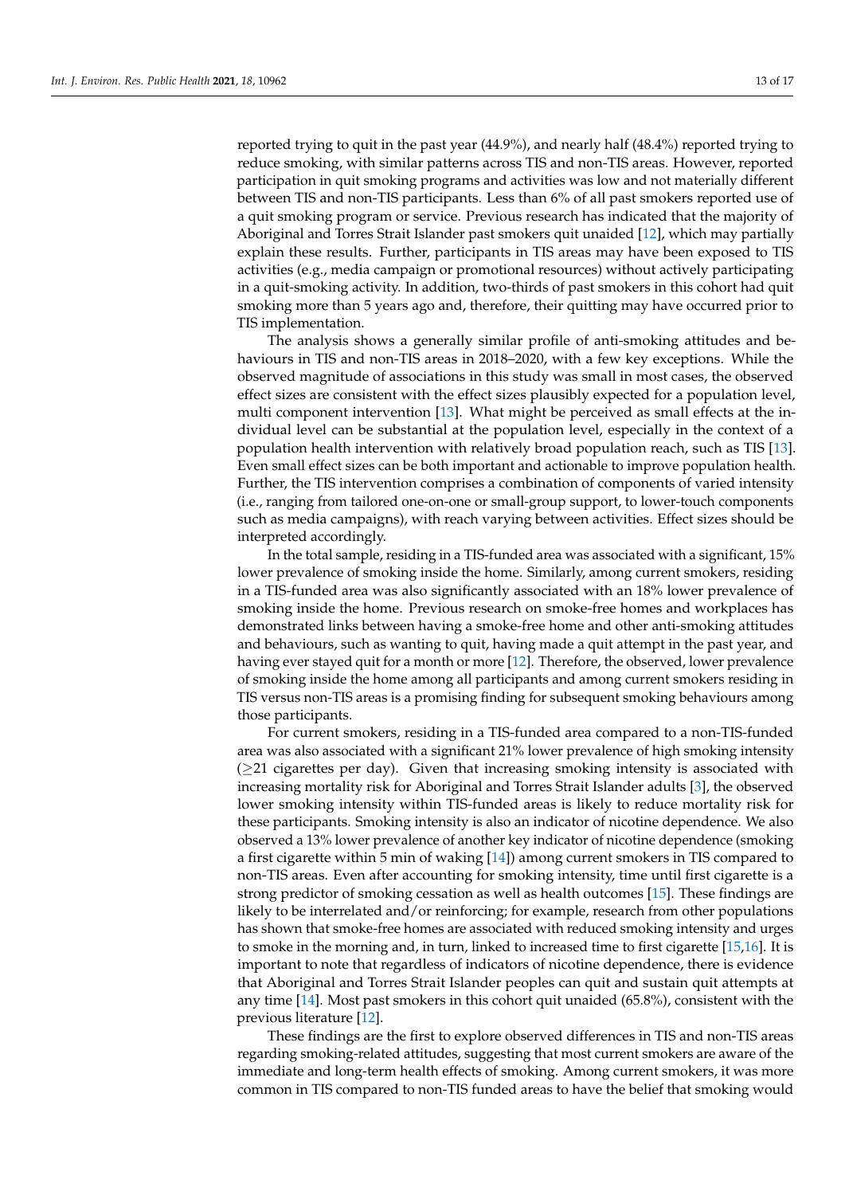reported trying to quit in the past year (44.9%), and nearly half (48.4%) reported trying to reduce smoking, with similar patterns across TIS and non-TIS areas. However, reported participation in quit smoking programs and activities was low and not materially different between TIS and non-TIS participants. Less than 6% of all past smokers reported use of a quit smoking program or service. Previous research has indicated that the majority of Aboriginal and Torres Strait Islander past smokers quit unaided [\[12\]](#page-16-9), which may partially explain these results. Further, participants in TIS areas may have been exposed to TIS activities (e.g., media campaign or promotional resources) without actively participating in a quit-smoking activity. In addition, two-thirds of past smokers in this cohort had quit smoking more than 5 years ago and, therefore, their quitting may have occurred prior to TIS implementation.

The analysis shows a generally similar profile of anti-smoking attitudes and behaviours in TIS and non-TIS areas in 2018–2020, with a few key exceptions. While the observed magnitude of associations in this study was small in most cases, the observed effect sizes are consistent with the effect sizes plausibly expected for a population level, multi component intervention [\[13\]](#page-16-10). What might be perceived as small effects at the individual level can be substantial at the population level, especially in the context of a population health intervention with relatively broad population reach, such as TIS [\[13\]](#page-16-10). Even small effect sizes can be both important and actionable to improve population health. Further, the TIS intervention comprises a combination of components of varied intensity (i.e., ranging from tailored one-on-one or small-group support, to lower-touch components such as media campaigns), with reach varying between activities. Effect sizes should be interpreted accordingly.

In the total sample, residing in a TIS-funded area was associated with a significant, 15% lower prevalence of smoking inside the home. Similarly, among current smokers, residing in a TIS-funded area was also significantly associated with an 18% lower prevalence of smoking inside the home. Previous research on smoke-free homes and workplaces has demonstrated links between having a smoke-free home and other anti-smoking attitudes and behaviours, such as wanting to quit, having made a quit attempt in the past year, and having ever stayed quit for a month or more [\[12\]](#page-16-9). Therefore, the observed, lower prevalence of smoking inside the home among all participants and among current smokers residing in TIS versus non-TIS areas is a promising finding for subsequent smoking behaviours among those participants.

For current smokers, residing in a TIS-funded area compared to a non-TIS-funded area was also associated with a significant 21% lower prevalence of high smoking intensity  $(\geq 21)$  cigarettes per day). Given that increasing smoking intensity is associated with increasing mortality risk for Aboriginal and Torres Strait Islander adults [\[3\]](#page-16-0), the observed lower smoking intensity within TIS-funded areas is likely to reduce mortality risk for these participants. Smoking intensity is also an indicator of nicotine dependence. We also observed a 13% lower prevalence of another key indicator of nicotine dependence (smoking a first cigarette within 5 min of waking [\[14\]](#page-16-11)) among current smokers in TIS compared to non-TIS areas. Even after accounting for smoking intensity, time until first cigarette is a strong predictor of smoking cessation as well as health outcomes [\[15\]](#page-16-12). These findings are likely to be interrelated and/or reinforcing; for example, research from other populations has shown that smoke-free homes are associated with reduced smoking intensity and urges to smoke in the morning and, in turn, linked to increased time to first cigarette [\[15,](#page-16-12)[16\]](#page-16-13). It is important to note that regardless of indicators of nicotine dependence, there is evidence that Aboriginal and Torres Strait Islander peoples can quit and sustain quit attempts at any time [\[14\]](#page-16-11). Most past smokers in this cohort quit unaided (65.8%), consistent with the previous literature [\[12\]](#page-16-9).

These findings are the first to explore observed differences in TIS and non-TIS areas regarding smoking-related attitudes, suggesting that most current smokers are aware of the immediate and long-term health effects of smoking. Among current smokers, it was more common in TIS compared to non-TIS funded areas to have the belief that smoking would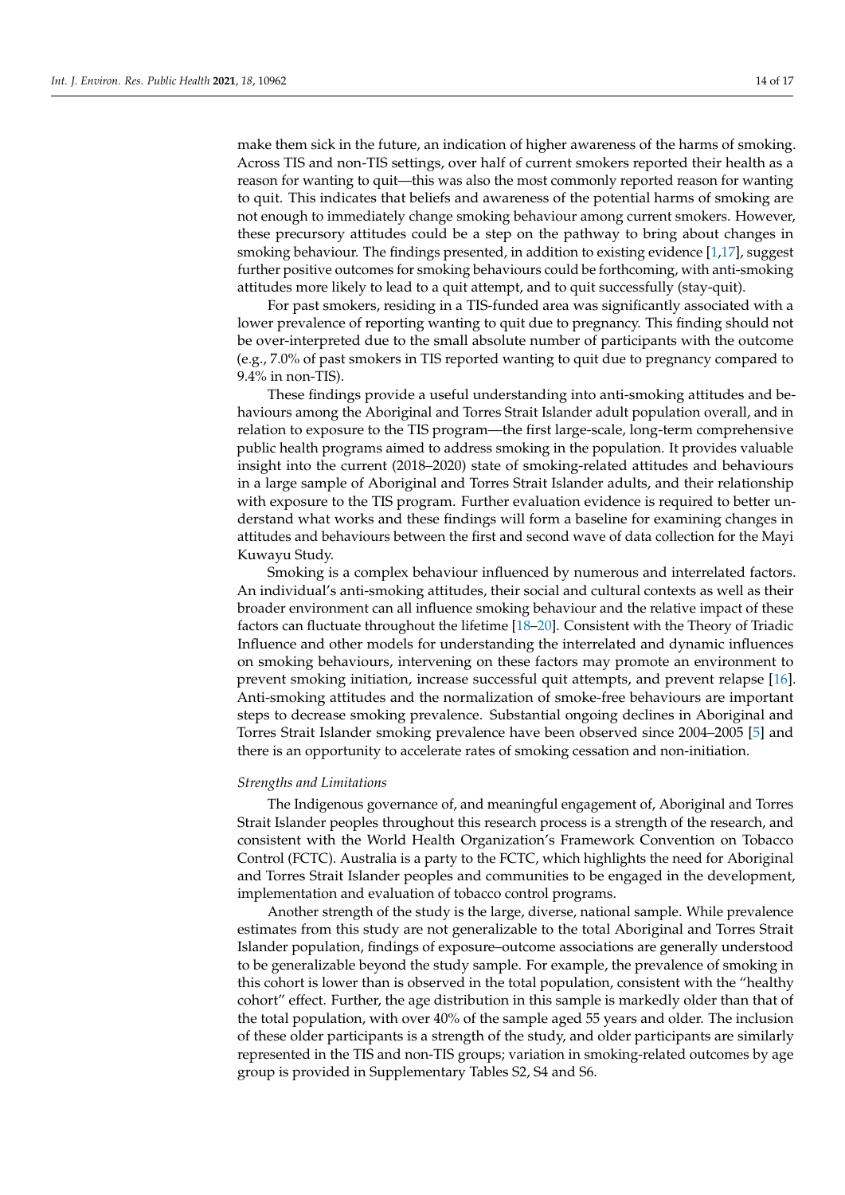make them sick in the future, an indication of higher awareness of the harms of smoking. Across TIS and non-TIS settings, over half of current smokers reported their health as a reason for wanting to quit—this was also the most commonly reported reason for wanting to quit. This indicates that beliefs and awareness of the potential harms of smoking are not enough to immediately change smoking behaviour among current smokers. However, these precursory attitudes could be a step on the pathway to bring about changes in smoking behaviour. The findings presented, in addition to existing evidence [\[1](#page-15-0)[,17\]](#page-16-14), suggest further positive outcomes for smoking behaviours could be forthcoming, with anti-smoking attitudes more likely to lead to a quit attempt, and to quit successfully (stay-quit).

For past smokers, residing in a TIS-funded area was significantly associated with a lower prevalence of reporting wanting to quit due to pregnancy. This finding should not be over-interpreted due to the small absolute number of participants with the outcome (e.g., 7.0% of past smokers in TIS reported wanting to quit due to pregnancy compared to 9.4% in non-TIS).

These findings provide a useful understanding into anti-smoking attitudes and behaviours among the Aboriginal and Torres Strait Islander adult population overall, and in relation to exposure to the TIS program—the first large-scale, long-term comprehensive public health programs aimed to address smoking in the population. It provides valuable insight into the current (2018–2020) state of smoking-related attitudes and behaviours in a large sample of Aboriginal and Torres Strait Islander adults, and their relationship with exposure to the TIS program. Further evaluation evidence is required to better understand what works and these findings will form a baseline for examining changes in attitudes and behaviours between the first and second wave of data collection for the Mayi Kuwayu Study.

Smoking is a complex behaviour influenced by numerous and interrelated factors. An individual's anti-smoking attitudes, their social and cultural contexts as well as their broader environment can all influence smoking behaviour and the relative impact of these factors can fluctuate throughout the lifetime [\[18–](#page-16-15)[20\]](#page-16-16). Consistent with the Theory of Triadic Influence and other models for understanding the interrelated and dynamic influences on smoking behaviours, intervening on these factors may promote an environment to prevent smoking initiation, increase successful quit attempts, and prevent relapse [\[16\]](#page-16-13). Anti-smoking attitudes and the normalization of smoke-free behaviours are important steps to decrease smoking prevalence. Substantial ongoing declines in Aboriginal and Torres Strait Islander smoking prevalence have been observed since 2004–2005 [\[5\]](#page-16-2) and there is an opportunity to accelerate rates of smoking cessation and non-initiation.

#### *Strengths and Limitations*

The Indigenous governance of, and meaningful engagement of, Aboriginal and Torres Strait Islander peoples throughout this research process is a strength of the research, and consistent with the World Health Organization's Framework Convention on Tobacco Control (FCTC). Australia is a party to the FCTC, which highlights the need for Aboriginal and Torres Strait Islander peoples and communities to be engaged in the development, implementation and evaluation of tobacco control programs.

Another strength of the study is the large, diverse, national sample. While prevalence estimates from this study are not generalizable to the total Aboriginal and Torres Strait Islander population, findings of exposure–outcome associations are generally understood to be generalizable beyond the study sample. For example, the prevalence of smoking in this cohort is lower than is observed in the total population, consistent with the "healthy cohort" effect. Further, the age distribution in this sample is markedly older than that of the total population, with over 40% of the sample aged 55 years and older. The inclusion of these older participants is a strength of the study, and older participants are similarly represented in the TIS and non-TIS groups; variation in smoking-related outcomes by age group is provided in Supplementary Tables S2, S4 and S6.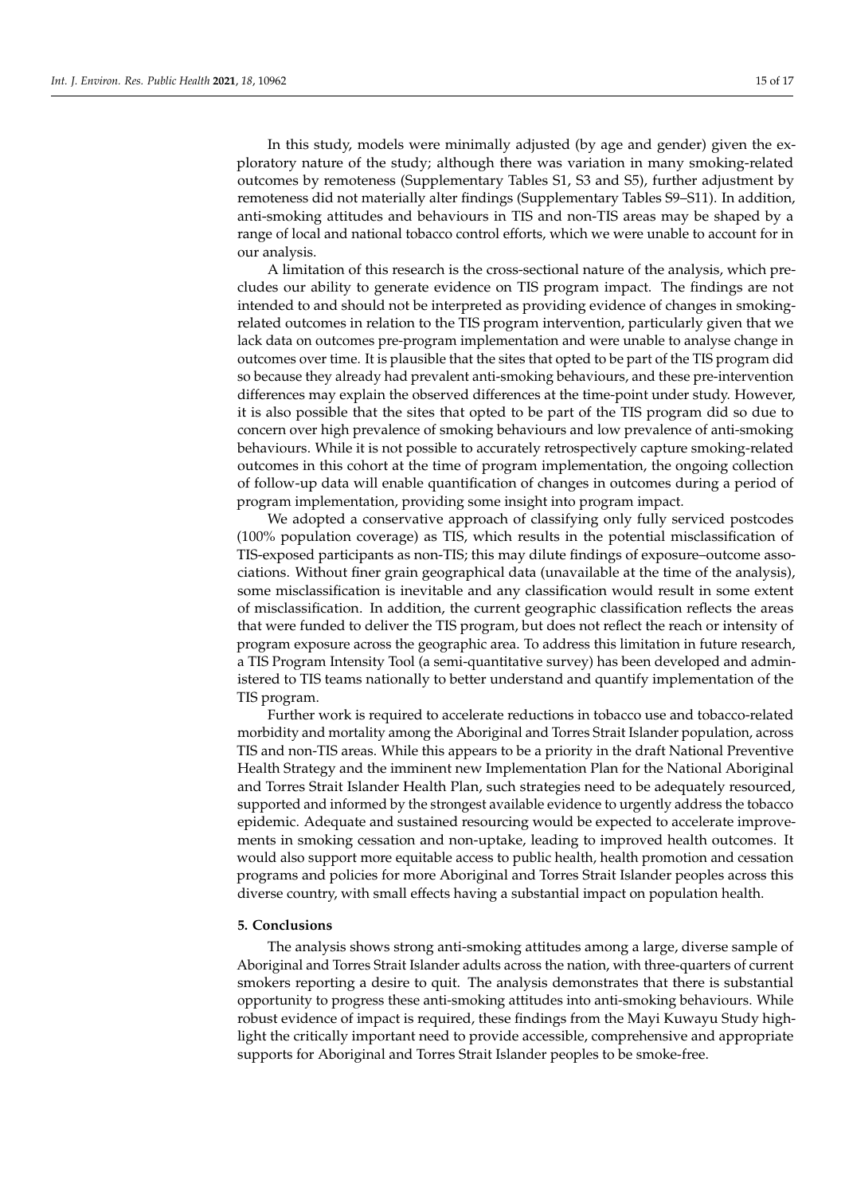In this study, models were minimally adjusted (by age and gender) given the exploratory nature of the study; although there was variation in many smoking-related outcomes by remoteness (Supplementary Tables S1, S3 and S5), further adjustment by remoteness did not materially alter findings (Supplementary Tables S9–S11). In addition, anti-smoking attitudes and behaviours in TIS and non-TIS areas may be shaped by a range of local and national tobacco control efforts, which we were unable to account for in our analysis.

A limitation of this research is the cross-sectional nature of the analysis, which precludes our ability to generate evidence on TIS program impact. The findings are not intended to and should not be interpreted as providing evidence of changes in smokingrelated outcomes in relation to the TIS program intervention, particularly given that we lack data on outcomes pre-program implementation and were unable to analyse change in outcomes over time. It is plausible that the sites that opted to be part of the TIS program did so because they already had prevalent anti-smoking behaviours, and these pre-intervention differences may explain the observed differences at the time-point under study. However, it is also possible that the sites that opted to be part of the TIS program did so due to concern over high prevalence of smoking behaviours and low prevalence of anti-smoking behaviours. While it is not possible to accurately retrospectively capture smoking-related outcomes in this cohort at the time of program implementation, the ongoing collection of follow-up data will enable quantification of changes in outcomes during a period of program implementation, providing some insight into program impact.

We adopted a conservative approach of classifying only fully serviced postcodes (100% population coverage) as TIS, which results in the potential misclassification of TIS-exposed participants as non-TIS; this may dilute findings of exposure–outcome associations. Without finer grain geographical data (unavailable at the time of the analysis), some misclassification is inevitable and any classification would result in some extent of misclassification. In addition, the current geographic classification reflects the areas that were funded to deliver the TIS program, but does not reflect the reach or intensity of program exposure across the geographic area. To address this limitation in future research, a TIS Program Intensity Tool (a semi-quantitative survey) has been developed and administered to TIS teams nationally to better understand and quantify implementation of the TIS program.

Further work is required to accelerate reductions in tobacco use and tobacco-related morbidity and mortality among the Aboriginal and Torres Strait Islander population, across TIS and non-TIS areas. While this appears to be a priority in the draft National Preventive Health Strategy and the imminent new Implementation Plan for the National Aboriginal and Torres Strait Islander Health Plan, such strategies need to be adequately resourced, supported and informed by the strongest available evidence to urgently address the tobacco epidemic. Adequate and sustained resourcing would be expected to accelerate improvements in smoking cessation and non-uptake, leading to improved health outcomes. It would also support more equitable access to public health, health promotion and cessation programs and policies for more Aboriginal and Torres Strait Islander peoples across this diverse country, with small effects having a substantial impact on population health.

# **5. Conclusions**

The analysis shows strong anti-smoking attitudes among a large, diverse sample of Aboriginal and Torres Strait Islander adults across the nation, with three-quarters of current smokers reporting a desire to quit. The analysis demonstrates that there is substantial opportunity to progress these anti-smoking attitudes into anti-smoking behaviours. While robust evidence of impact is required, these findings from the Mayi Kuwayu Study highlight the critically important need to provide accessible, comprehensive and appropriate supports for Aboriginal and Torres Strait Islander peoples to be smoke-free.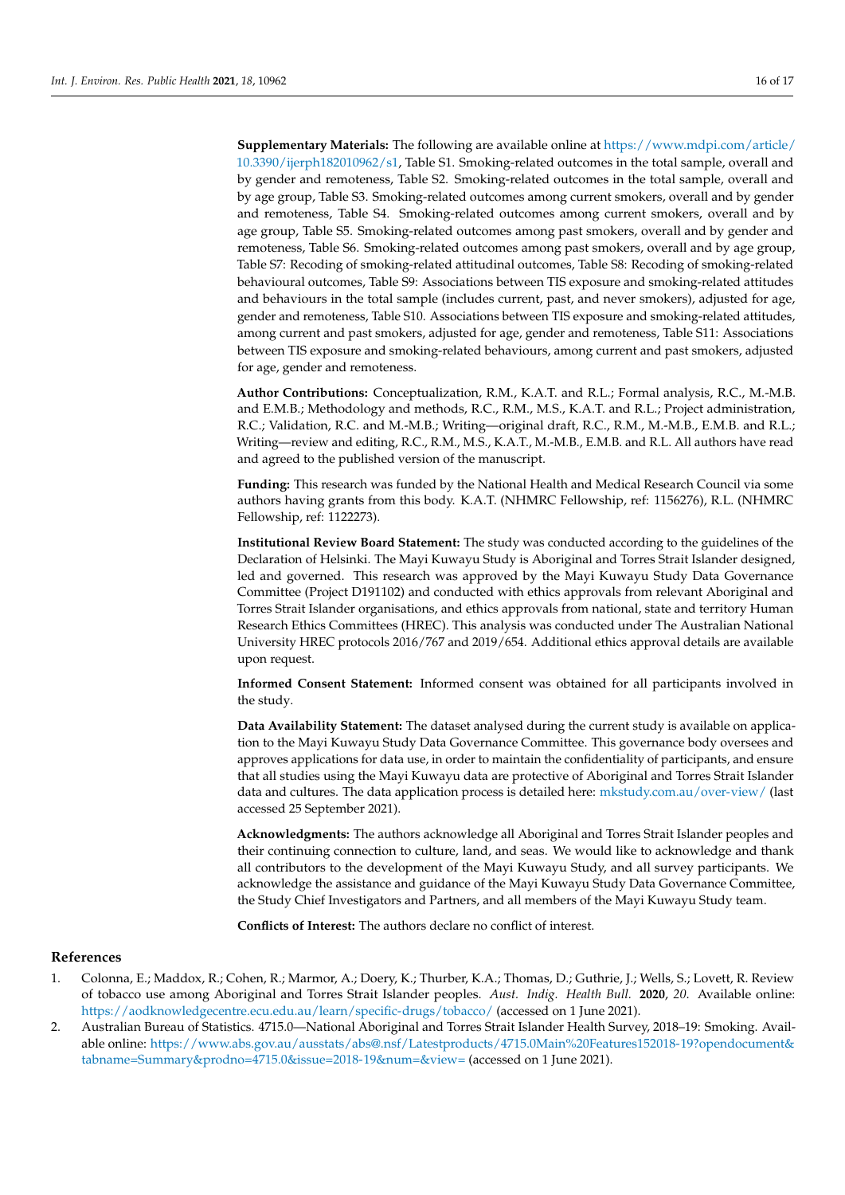**Supplementary Materials:** The following are available online at [https://www.mdpi.com/article/](https://www.mdpi.com/article/10.3390/ijerph182010962/s1) [10.3390/ijerph182010962/s1,](https://www.mdpi.com/article/10.3390/ijerph182010962/s1) Table S1. Smoking-related outcomes in the total sample, overall and by gender and remoteness, Table S2. Smoking-related outcomes in the total sample, overall and by age group, Table S3. Smoking-related outcomes among current smokers, overall and by gender and remoteness, Table S4. Smoking-related outcomes among current smokers, overall and by age group, Table S5. Smoking-related outcomes among past smokers, overall and by gender and remoteness, Table S6. Smoking-related outcomes among past smokers, overall and by age group, Table S7: Recoding of smoking-related attitudinal outcomes, Table S8: Recoding of smoking-related behavioural outcomes, Table S9: Associations between TIS exposure and smoking-related attitudes and behaviours in the total sample (includes current, past, and never smokers), adjusted for age, gender and remoteness, Table S10. Associations between TIS exposure and smoking-related attitudes, among current and past smokers, adjusted for age, gender and remoteness, Table S11: Associations between TIS exposure and smoking-related behaviours, among current and past smokers, adjusted for age, gender and remoteness.

**Author Contributions:** Conceptualization, R.M., K.A.T. and R.L.; Formal analysis, R.C., M.-M.B. and E.M.B.; Methodology and methods, R.C., R.M., M.S., K.A.T. and R.L.; Project administration, R.C.; Validation, R.C. and M.-M.B.; Writing—original draft, R.C., R.M., M.-M.B., E.M.B. and R.L.; Writing—review and editing, R.C., R.M., M.S., K.A.T., M.-M.B., E.M.B. and R.L. All authors have read and agreed to the published version of the manuscript.

**Funding:** This research was funded by the National Health and Medical Research Council via some authors having grants from this body. K.A.T. (NHMRC Fellowship, ref: 1156276), R.L. (NHMRC Fellowship, ref: 1122273).

**Institutional Review Board Statement:** The study was conducted according to the guidelines of the Declaration of Helsinki. The Mayi Kuwayu Study is Aboriginal and Torres Strait Islander designed, led and governed. This research was approved by the Mayi Kuwayu Study Data Governance Committee (Project D191102) and conducted with ethics approvals from relevant Aboriginal and Torres Strait Islander organisations, and ethics approvals from national, state and territory Human Research Ethics Committees (HREC). This analysis was conducted under The Australian National University HREC protocols 2016/767 and 2019/654. Additional ethics approval details are available upon request.

**Informed Consent Statement:** Informed consent was obtained for all participants involved in the study.

**Data Availability Statement:** The dataset analysed during the current study is available on application to the Mayi Kuwayu Study Data Governance Committee. This governance body oversees and approves applications for data use, in order to maintain the confidentiality of participants, and ensure that all studies using the Mayi Kuwayu data are protective of Aboriginal and Torres Strait Islander data and cultures. The data application process is detailed here: <mkstudy.com.au/over-view/> (last accessed 25 September 2021).

**Acknowledgments:** The authors acknowledge all Aboriginal and Torres Strait Islander peoples and their continuing connection to culture, land, and seas. We would like to acknowledge and thank all contributors to the development of the Mayi Kuwayu Study, and all survey participants. We acknowledge the assistance and guidance of the Mayi Kuwayu Study Data Governance Committee, the Study Chief Investigators and Partners, and all members of the Mayi Kuwayu Study team.

**Conflicts of Interest:** The authors declare no conflict of interest.

# **References**

- <span id="page-15-0"></span>1. Colonna, E.; Maddox, R.; Cohen, R.; Marmor, A.; Doery, K.; Thurber, K.A.; Thomas, D.; Guthrie, J.; Wells, S.; Lovett, R. Review of tobacco use among Aboriginal and Torres Strait Islander peoples. *Aust. Indig. Health Bull.* **2020**, *20*. Available online: <https://aodknowledgecentre.ecu.edu.au/learn/specific-drugs/tobacco/> (accessed on 1 June 2021).
- <span id="page-15-1"></span>2. Australian Bureau of Statistics. 4715.0—National Aboriginal and Torres Strait Islander Health Survey, 2018–19: Smoking. Available online: [https://www.abs.gov.au/ausstats/abs@.nsf/Latestproducts/4715.0Main%20Features152018-19?opendocument&](https://www.abs.gov.au/ausstats/abs@.nsf/Latestproducts/4715.0Main%20Features152018-19?opendocument&tabname=Summary&prodno=4715.0&issue=2018-19&num=&view=) [tabname=Summary&prodno=4715.0&issue=2018-19&num=&view=](https://www.abs.gov.au/ausstats/abs@.nsf/Latestproducts/4715.0Main%20Features152018-19?opendocument&tabname=Summary&prodno=4715.0&issue=2018-19&num=&view=) (accessed on 1 June 2021).